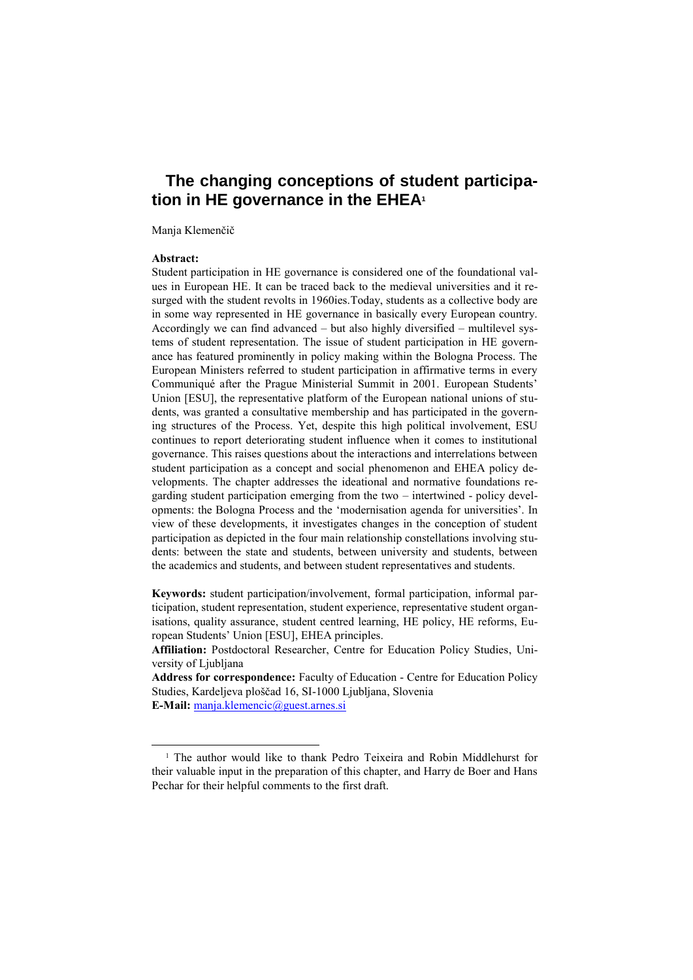## **The changing conceptions of student participation in HE governance in the EHEA<sup>1</sup>**

Manja Klemenčič

#### **Abstract:**

Student participation in HE governance is considered one of the foundational values in European HE. It can be traced back to the medieval universities and it resurged with the student revolts in 1960ies.Today, students as a collective body are in some way represented in HE governance in basically every European country. Accordingly we can find advanced – but also highly diversified – multilevel systems of student representation. The issue of student participation in HE governance has featured prominently in policy making within the Bologna Process. The European Ministers referred to student participation in affirmative terms in every Communiqué after the Prague Ministerial Summit in 2001. European Students' Union [ESU], the representative platform of the European national unions of students, was granted a consultative membership and has participated in the governing structures of the Process. Yet, despite this high political involvement, ESU continues to report deteriorating student influence when it comes to institutional governance. This raises questions about the interactions and interrelations between student participation as a concept and social phenomenon and EHEA policy developments. The chapter addresses the ideational and normative foundations regarding student participation emerging from the two – intertwined - policy developments: the Bologna Process and the 'modernisation agenda for universities'. In view of these developments, it investigates changes in the conception of student participation as depicted in the four main relationship constellations involving students: between the state and students, between university and students, between the academics and students, and between student representatives and students.

**Keywords:** student participation/involvement, formal participation, informal participation, student representation, student experience, representative student organisations, quality assurance, student centred learning, HE policy, HE reforms, European Students' Union [ESU], EHEA principles.

**Affiliation:** Postdoctoral Researcher, Centre for Education Policy Studies, University of Ljubljana

**Address for correspondence:** Faculty of Education - Centre for Education Policy Studies, Kardeljeva ploščad 16, SI-1000 Ljubljana, Slovenia **E-Mail:** [manja.klemencic@guest.arnes.si](mailto:manja.klemencic@guest.arnes.si)

<sup>&</sup>lt;sup>1</sup> The author would like to thank Pedro Teixeira and Robin Middlehurst for their valuable input in the preparation of this chapter, and Harry de Boer and Hans Pechar for their helpful comments to the first draft.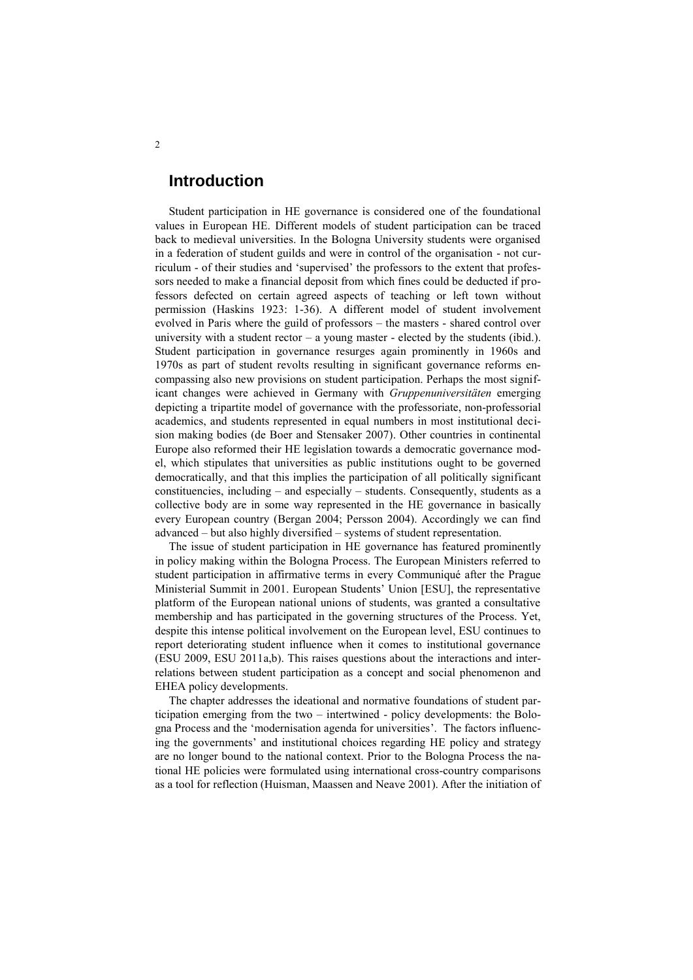### **Introduction**

Student participation in HE governance is considered one of the foundational values in European HE. Different models of student participation can be traced back to medieval universities. In the Bologna University students were organised in a federation of student guilds and were in control of the organisation - not curriculum - of their studies and 'supervised' the professors to the extent that professors needed to make a financial deposit from which fines could be deducted if professors defected on certain agreed aspects of teaching or left town without permission (Haskins 1923: 1-36). A different model of student involvement evolved in Paris where the guild of professors – the masters - shared control over university with a student rector  $-$  a young master  $-$  elected by the students (ibid.). Student participation in governance resurges again prominently in 1960s and 1970s as part of student revolts resulting in significant governance reforms encompassing also new provisions on student participation. Perhaps the most significant changes were achieved in Germany with *Gruppenuniversitäten* emerging depicting a tripartite model of governance with the professoriate, non-professorial academics, and students represented in equal numbers in most institutional decision making bodies (de Boer and Stensaker 2007). Other countries in continental Europe also reformed their HE legislation towards a democratic governance model, which stipulates that universities as public institutions ought to be governed democratically, and that this implies the participation of all politically significant constituencies, including – and especially – students. Consequently, students as a collective body are in some way represented in the HE governance in basically every European country (Bergan 2004; Persson 2004). Accordingly we can find advanced – but also highly diversified – systems of student representation.

The issue of student participation in HE governance has featured prominently in policy making within the Bologna Process. The European Ministers referred to student participation in affirmative terms in every Communiqué after the Prague Ministerial Summit in 2001. European Students' Union [ESU], the representative platform of the European national unions of students, was granted a consultative membership and has participated in the governing structures of the Process. Yet, despite this intense political involvement on the European level, ESU continues to report deteriorating student influence when it comes to institutional governance (ESU 2009, ESU 2011a,b). This raises questions about the interactions and interrelations between student participation as a concept and social phenomenon and EHEA policy developments.

The chapter addresses the ideational and normative foundations of student participation emerging from the two – intertwined - policy developments: the Bologna Process and the 'modernisation agenda for universities'. The factors influencing the governments' and institutional choices regarding HE policy and strategy are no longer bound to the national context. Prior to the Bologna Process the national HE policies were formulated using international cross-country comparisons as a tool for reflection (Huisman, Maassen and Neave 2001). After the initiation of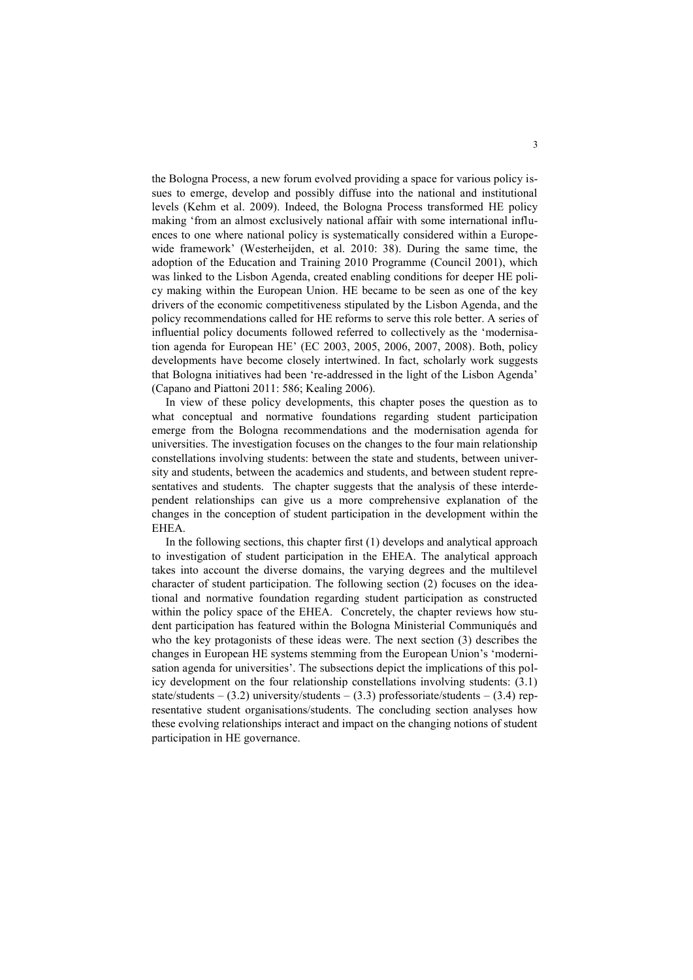the Bologna Process, a new forum evolved providing a space for various policy issues to emerge, develop and possibly diffuse into the national and institutional levels (Kehm et al. 2009). Indeed, the Bologna Process transformed HE policy making 'from an almost exclusively national affair with some international influences to one where national policy is systematically considered within a Europewide framework' (Westerheijden, et al. 2010: 38). During the same time, the adoption of the Education and Training 2010 Programme (Council 2001), which was linked to the Lisbon Agenda, created enabling conditions for deeper HE policy making within the European Union. HE became to be seen as one of the key drivers of the economic competitiveness stipulated by the Lisbon Agenda, and the policy recommendations called for HE reforms to serve this role better. A series of influential policy documents followed referred to collectively as the 'modernisation agenda for European HE' (EC 2003, 2005, 2006, 2007, 2008). Both, policy developments have become closely intertwined. In fact, scholarly work suggests that Bologna initiatives had been 're-addressed in the light of the Lisbon Agenda' (Capano and Piattoni 2011: 586; Kealing 2006).

In view of these policy developments, this chapter poses the question as to what conceptual and normative foundations regarding student participation emerge from the Bologna recommendations and the modernisation agenda for universities. The investigation focuses on the changes to the four main relationship constellations involving students: between the state and students, between university and students, between the academics and students, and between student representatives and students. The chapter suggests that the analysis of these interdependent relationships can give us a more comprehensive explanation of the changes in the conception of student participation in the development within the EHEA.

In the following sections, this chapter first (1) develops and analytical approach to investigation of student participation in the EHEA. The analytical approach takes into account the diverse domains, the varying degrees and the multilevel character of student participation. The following section (2) focuses on the ideational and normative foundation regarding student participation as constructed within the policy space of the EHEA. Concretely, the chapter reviews how student participation has featured within the Bologna Ministerial Communiqués and who the key protagonists of these ideas were. The next section (3) describes the changes in European HE systems stemming from the European Union's 'modernisation agenda for universities'. The subsections depict the implications of this policy development on the four relationship constellations involving students: (3.1) state/students –  $(3.2)$  university/students –  $(3.3)$  professoriate/students –  $(3.4)$  representative student organisations/students. The concluding section analyses how these evolving relationships interact and impact on the changing notions of student participation in HE governance.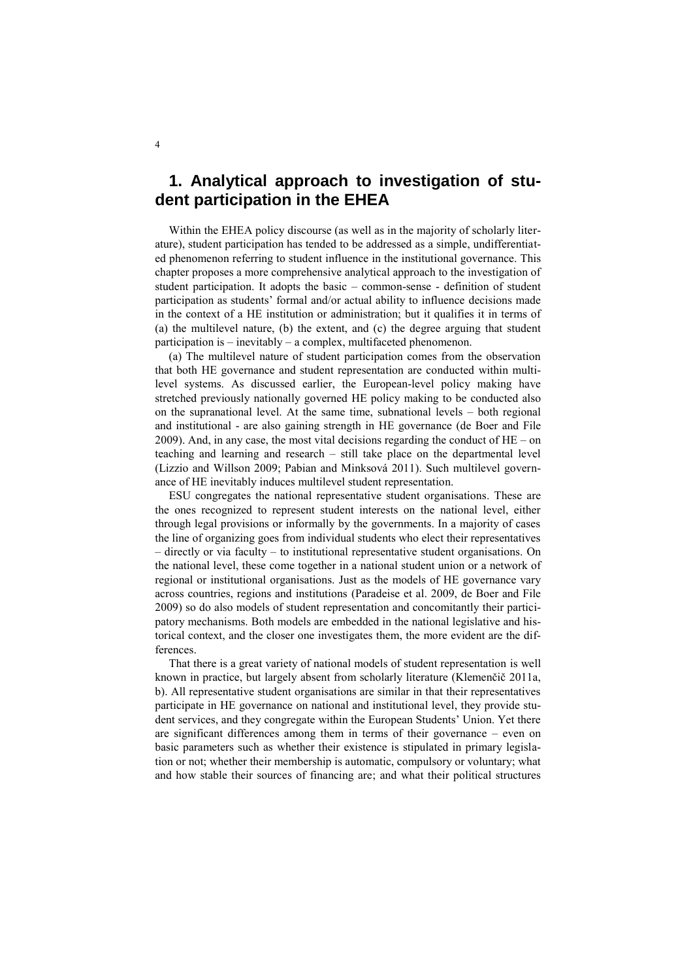## **1. Analytical approach to investigation of student participation in the EHEA**

Within the EHEA policy discourse (as well as in the majority of scholarly literature), student participation has tended to be addressed as a simple, undifferentiated phenomenon referring to student influence in the institutional governance. This chapter proposes a more comprehensive analytical approach to the investigation of student participation. It adopts the basic – common-sense - definition of student participation as students' formal and/or actual ability to influence decisions made in the context of a HE institution or administration; but it qualifies it in terms of (a) the multilevel nature, (b) the extent, and (c) the degree arguing that student participation is – inevitably – a complex, multifaceted phenomenon.

(a) The multilevel nature of student participation comes from the observation that both HE governance and student representation are conducted within multilevel systems. As discussed earlier, the European-level policy making have stretched previously nationally governed HE policy making to be conducted also on the supranational level. At the same time, subnational levels – both regional and institutional - are also gaining strength in HE governance (de Boer and File 2009). And, in any case, the most vital decisions regarding the conduct of HE – on teaching and learning and research – still take place on the departmental level (Lizzio and Willson 2009; Pabian and Minksová 2011). Such multilevel governance of HE inevitably induces multilevel student representation.

ESU congregates the national representative student organisations. These are the ones recognized to represent student interests on the national level, either through legal provisions or informally by the governments. In a majority of cases the line of organizing goes from individual students who elect their representatives – directly or via faculty – to institutional representative student organisations. On the national level, these come together in a national student union or a network of regional or institutional organisations. Just as the models of HE governance vary across countries, regions and institutions (Paradeise et al. 2009, de Boer and File 2009) so do also models of student representation and concomitantly their participatory mechanisms. Both models are embedded in the national legislative and historical context, and the closer one investigates them, the more evident are the differences.

That there is a great variety of national models of student representation is well known in practice, but largely absent from scholarly literature (Klemenčič 2011a, b). All representative student organisations are similar in that their representatives participate in HE governance on national and institutional level, they provide student services, and they congregate within the European Students' Union. Yet there are significant differences among them in terms of their governance – even on basic parameters such as whether their existence is stipulated in primary legislation or not; whether their membership is automatic, compulsory or voluntary; what and how stable their sources of financing are; and what their political structures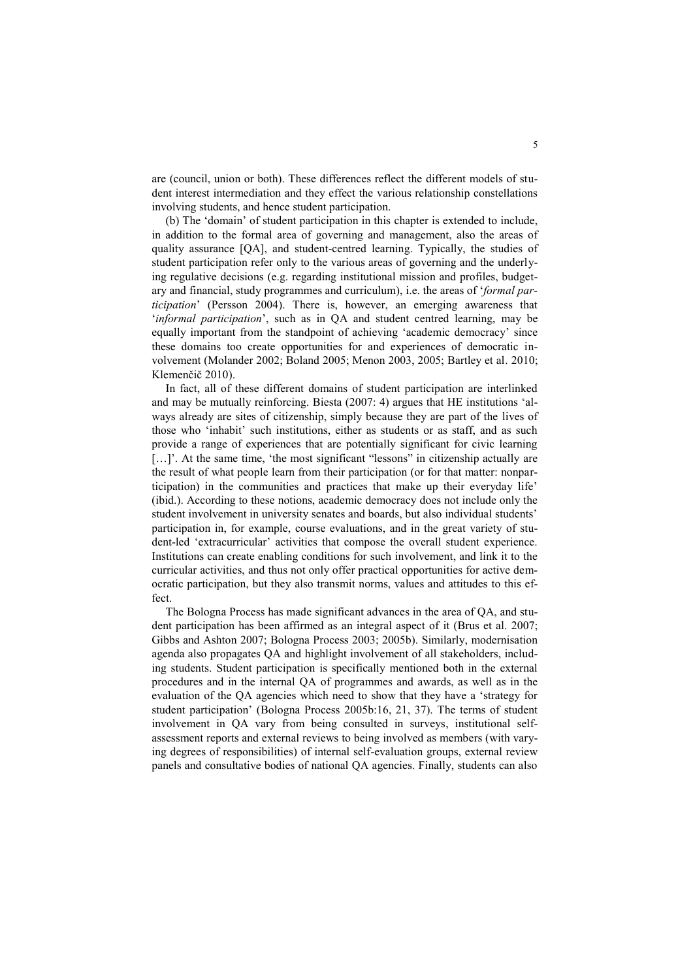are (council, union or both). These differences reflect the different models of student interest intermediation and they effect the various relationship constellations involving students, and hence student participation.

(b) The 'domain' of student participation in this chapter is extended to include, in addition to the formal area of governing and management, also the areas of quality assurance [QA], and student-centred learning. Typically, the studies of student participation refer only to the various areas of governing and the underlying regulative decisions (e.g. regarding institutional mission and profiles, budgetary and financial, study programmes and curriculum), i.e. the areas of '*formal participation*' (Persson 2004). There is, however, an emerging awareness that '*informal participation*', such as in QA and student centred learning, may be equally important from the standpoint of achieving 'academic democracy' since these domains too create opportunities for and experiences of democratic involvement (Molander 2002; Boland 2005; Menon 2003, 2005; Bartley et al. 2010; Klemenčič 2010).

In fact, all of these different domains of student participation are interlinked and may be mutually reinforcing. Biesta (2007: 4) argues that HE institutions 'always already are sites of citizenship, simply because they are part of the lives of those who 'inhabit' such institutions, either as students or as staff, and as such provide a range of experiences that are potentially significant for civic learning [...]'. At the same time, 'the most significant "lessons" in citizenship actually are the result of what people learn from their participation (or for that matter: nonparticipation) in the communities and practices that make up their everyday life' (ibid.). According to these notions, academic democracy does not include only the student involvement in university senates and boards, but also individual students' participation in, for example, course evaluations, and in the great variety of student-led 'extracurricular' activities that compose the overall student experience. Institutions can create enabling conditions for such involvement, and link it to the curricular activities, and thus not only offer practical opportunities for active democratic participation, but they also transmit norms, values and attitudes to this effect.

The Bologna Process has made significant advances in the area of QA, and student participation has been affirmed as an integral aspect of it (Brus et al. 2007; Gibbs and Ashton 2007; Bologna Process 2003; 2005b). Similarly, modernisation agenda also propagates QA and highlight involvement of all stakeholders, including students. Student participation is specifically mentioned both in the external procedures and in the internal QA of programmes and awards, as well as in the evaluation of the QA agencies which need to show that they have a 'strategy for student participation' (Bologna Process 2005b:16, 21, 37). The terms of student involvement in QA vary from being consulted in surveys, institutional selfassessment reports and external reviews to being involved as members (with varying degrees of responsibilities) of internal self-evaluation groups, external review panels and consultative bodies of national QA agencies. Finally, students can also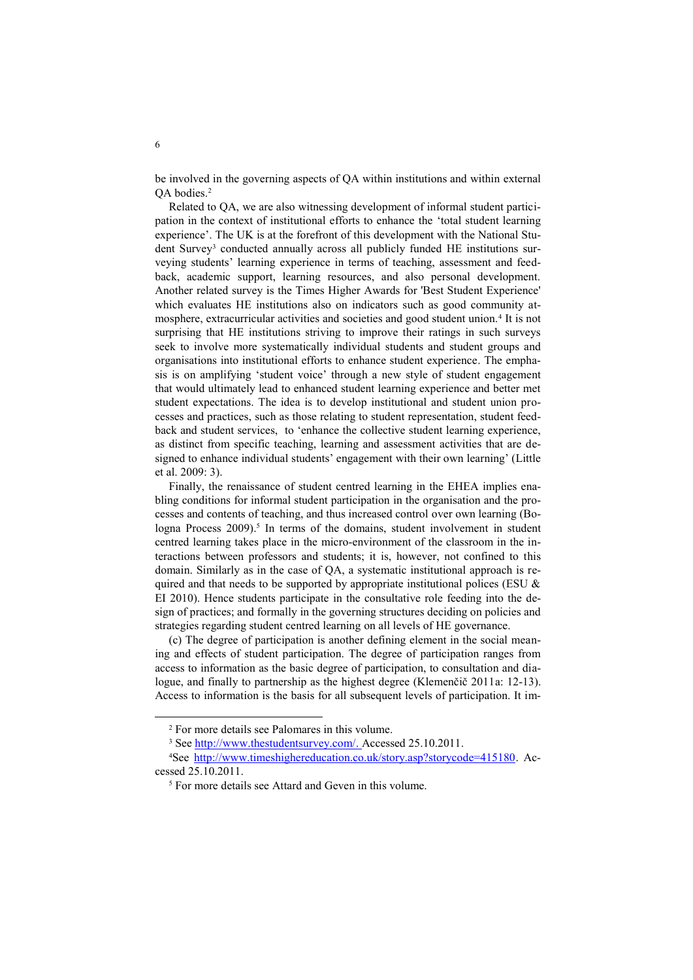be involved in the governing aspects of QA within institutions and within external OA bodies.<sup>2</sup>

Related to QA, we are also witnessing development of informal student participation in the context of institutional efforts to enhance the 'total student learning experience'. The UK is at the forefront of this development with the National Student Survey<sup>3</sup> conducted annually across all publicly funded HE institutions surveying students' learning experience in terms of teaching, assessment and feedback, academic support, learning resources, and also personal development. Another related survey is the Times Higher Awards for 'Best Student Experience' which evaluates HE institutions also on indicators such as good community atmosphere, extracurricular activities and societies and good student union.<sup>4</sup> It is not surprising that HE institutions striving to improve their ratings in such surveys seek to involve more systematically individual students and student groups and organisations into institutional efforts to enhance student experience. The emphasis is on amplifying 'student voice' through a new style of student engagement that would ultimately lead to enhanced student learning experience and better met student expectations. The idea is to develop institutional and student union processes and practices, such as those relating to student representation, student feedback and student services, to 'enhance the collective student learning experience, as distinct from specific teaching, learning and assessment activities that are designed to enhance individual students' engagement with their own learning' (Little et al. 2009: 3).

Finally, the renaissance of student centred learning in the EHEA implies enabling conditions for informal student participation in the organisation and the processes and contents of teaching, and thus increased control over own learning (Bologna Process 2009).<sup>5</sup> In terms of the domains, student involvement in student centred learning takes place in the micro-environment of the classroom in the interactions between professors and students; it is, however, not confined to this domain. Similarly as in the case of QA, a systematic institutional approach is required and that needs to be supported by appropriate institutional polices (ESU  $\&$ EI 2010). Hence students participate in the consultative role feeding into the design of practices; and formally in the governing structures deciding on policies and strategies regarding student centred learning on all levels of HE governance.

(c) The degree of participation is another defining element in the social meaning and effects of student participation. The degree of participation ranges from access to information as the basic degree of participation, to consultation and dialogue, and finally to partnership as the highest degree (Klemenčič 2011a: 12-13). Access to information is the basis for all subsequent levels of participation. It im-

<sup>2</sup> For more details see Palomares in this volume.

<sup>3</sup> See [http://www.thestudentsurvey.com/.](http://www.thestudentsurvey.com/) Accessed 25.10.2011.

<sup>4</sup>See [http://www.timeshighereducation.co.uk/story.asp?storycode=415180.](http://www.timeshighereducation.co.uk/story.asp?storycode=415180) Accessed 25.10.2011.

<sup>5</sup> For more details see Attard and Geven in this volume.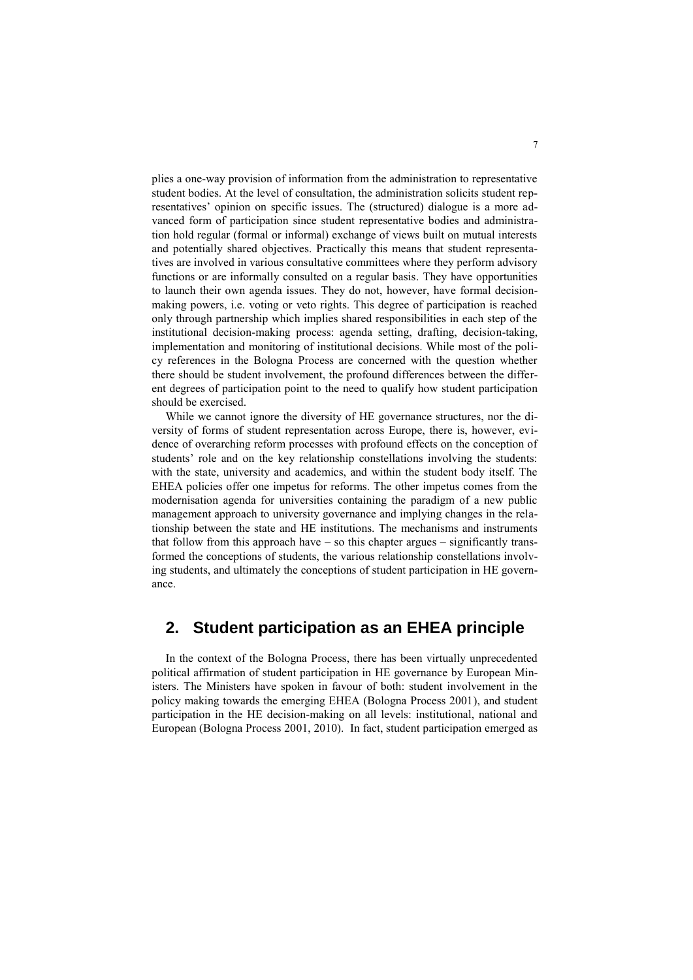plies a one-way provision of information from the administration to representative student bodies. At the level of consultation, the administration solicits student representatives' opinion on specific issues. The (structured) dialogue is a more advanced form of participation since student representative bodies and administration hold regular (formal or informal) exchange of views built on mutual interests and potentially shared objectives. Practically this means that student representatives are involved in various consultative committees where they perform advisory functions or are informally consulted on a regular basis. They have opportunities to launch their own agenda issues. They do not, however, have formal decisionmaking powers, i.e. voting or veto rights. This degree of participation is reached only through partnership which implies shared responsibilities in each step of the institutional decision-making process: agenda setting, drafting, decision-taking, implementation and monitoring of institutional decisions. While most of the policy references in the Bologna Process are concerned with the question whether there should be student involvement, the profound differences between the different degrees of participation point to the need to qualify how student participation should be exercised.

While we cannot ignore the diversity of HE governance structures, nor the diversity of forms of student representation across Europe, there is, however, evidence of overarching reform processes with profound effects on the conception of students' role and on the key relationship constellations involving the students: with the state, university and academics, and within the student body itself. The EHEA policies offer one impetus for reforms. The other impetus comes from the modernisation agenda for universities containing the paradigm of a new public management approach to university governance and implying changes in the relationship between the state and HE institutions. The mechanisms and instruments that follow from this approach have  $-$  so this chapter argues  $-$  significantly transformed the conceptions of students, the various relationship constellations involving students, and ultimately the conceptions of student participation in HE governance.

### **2. Student participation as an EHEA principle**

In the context of the Bologna Process, there has been virtually unprecedented political affirmation of student participation in HE governance by European Ministers. The Ministers have spoken in favour of both: student involvement in the policy making towards the emerging EHEA (Bologna Process 2001), and student participation in the HE decision-making on all levels: institutional, national and European (Bologna Process 2001, 2010). In fact, student participation emerged as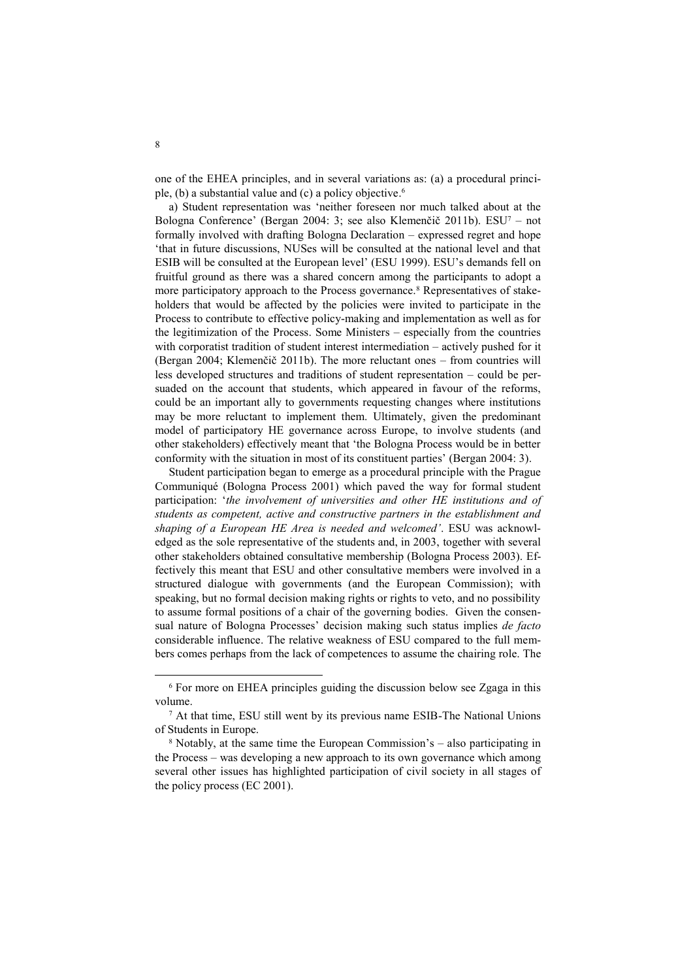one of the EHEA principles, and in several variations as: (a) a procedural principle, (b) a substantial value and (c) a policy objective. 6

a) Student representation was 'neither foreseen nor much talked about at the Bologna Conference' (Bergan 2004: 3; see also Klemenčič 2011b). ESU<sup>7</sup> – not formally involved with drafting Bologna Declaration – expressed regret and hope 'that in future discussions, NUSes will be consulted at the national level and that ESIB will be consulted at the European level' (ESU 1999). ESU's demands fell on fruitful ground as there was a shared concern among the participants to adopt a more participatory approach to the Process governance.<sup>8</sup> Representatives of stakeholders that would be affected by the policies were invited to participate in the Process to contribute to effective policy-making and implementation as well as for the legitimization of the Process. Some Ministers – especially from the countries with corporatist tradition of student interest intermediation – actively pushed for it (Bergan 2004; Klemenčič 2011b). The more reluctant ones – from countries will less developed structures and traditions of student representation – could be persuaded on the account that students, which appeared in favour of the reforms, could be an important ally to governments requesting changes where institutions may be more reluctant to implement them. Ultimately, given the predominant model of participatory HE governance across Europe, to involve students (and other stakeholders) effectively meant that 'the Bologna Process would be in better conformity with the situation in most of its constituent parties' (Bergan 2004: 3).

Student participation began to emerge as a procedural principle with the Prague Communiqué (Bologna Process 2001) which paved the way for formal student participation: '*the involvement of universities and other HE institutions and of students as competent, active and constructive partners in the establishment and shaping of a European HE Area is needed and welcomed'*. ESU was acknowledged as the sole representative of the students and, in 2003, together with several other stakeholders obtained consultative membership (Bologna Process 2003). Effectively this meant that ESU and other consultative members were involved in a structured dialogue with governments (and the European Commission); with speaking, but no formal decision making rights or rights to veto, and no possibility to assume formal positions of a chair of the governing bodies. Given the consensual nature of Bologna Processes' decision making such status implies *de facto* considerable influence. The relative weakness of ESU compared to the full members comes perhaps from the lack of competences to assume the chairing role. The

<sup>6</sup> For more on EHEA principles guiding the discussion below see Zgaga in this volume.

<sup>7</sup> At that time, ESU still went by its previous name ESIB-The National Unions of Students in Europe.

<sup>8</sup> Notably, at the same time the European Commission's – also participating in the Process – was developing a new approach to its own governance which among several other issues has highlighted participation of civil society in all stages of the policy process (EC 2001).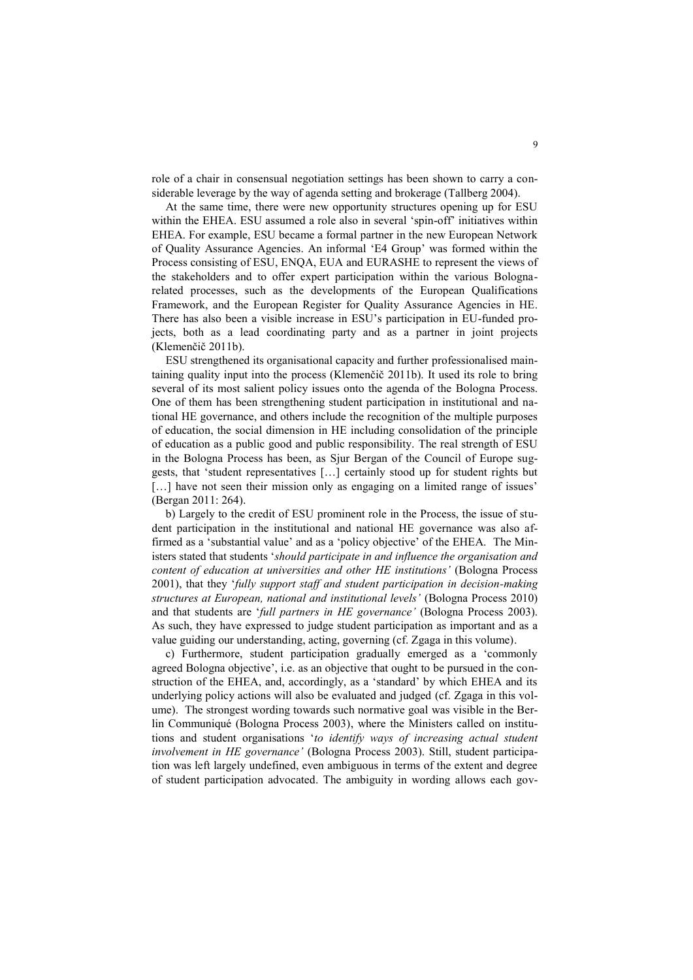role of a chair in consensual negotiation settings has been shown to carry a considerable leverage by the way of agenda setting and brokerage (Tallberg 2004).

At the same time, there were new opportunity structures opening up for ESU within the EHEA. ESU assumed a role also in several 'spin-off' initiatives within EHEA. For example, ESU became a formal partner in the new European Network of Quality Assurance Agencies. An informal 'E4 Group' was formed within the Process consisting of ESU, ENQA, EUA and EURASHE to represent the views of the stakeholders and to offer expert participation within the various Bolognarelated processes, such as the developments of the European Qualifications Framework, and the European Register for Quality Assurance Agencies in HE. There has also been a visible increase in ESU's participation in EU-funded projects, both as a lead coordinating party and as a partner in joint projects (Klemenčič 2011b).

ESU strengthened its organisational capacity and further professionalised maintaining quality input into the process (Klemenčič 2011b). It used its role to bring several of its most salient policy issues onto the agenda of the Bologna Process. One of them has been strengthening student participation in institutional and national HE governance, and others include the recognition of the multiple purposes of education, the social dimension in HE including consolidation of the principle of education as a public good and public responsibility. The real strength of ESU in the Bologna Process has been, as Sjur Bergan of the Council of Europe suggests, that 'student representatives […] certainly stood up for student rights but [...] have not seen their mission only as engaging on a limited range of issues' (Bergan 2011: 264).

b) Largely to the credit of ESU prominent role in the Process, the issue of student participation in the institutional and national HE governance was also affirmed as a 'substantial value' and as a 'policy objective' of the EHEA. The Ministers stated that students '*should participate in and influence the organisation and content of education at universities and other HE institutions'* (Bologna Process 2001), that they '*fully support staff and student participation in decision-making structures at European, national and institutional levels'* (Bologna Process 2010) and that students are '*full partners in HE governance'* (Bologna Process 2003). As such, they have expressed to judge student participation as important and as a value guiding our understanding, acting, governing (cf. Zgaga in this volume).

c) Furthermore, student participation gradually emerged as a 'commonly agreed Bologna objective', i.e. as an objective that ought to be pursued in the construction of the EHEA, and, accordingly, as a 'standard' by which EHEA and its underlying policy actions will also be evaluated and judged (cf. Zgaga in this volume). The strongest wording towards such normative goal was visible in the Berlin Communiqué (Bologna Process 2003), where the Ministers called on institutions and student organisations '*to identify ways of increasing actual student involvement in HE governance'* (Bologna Process 2003). Still, student participation was left largely undefined, even ambiguous in terms of the extent and degree of student participation advocated. The ambiguity in wording allows each gov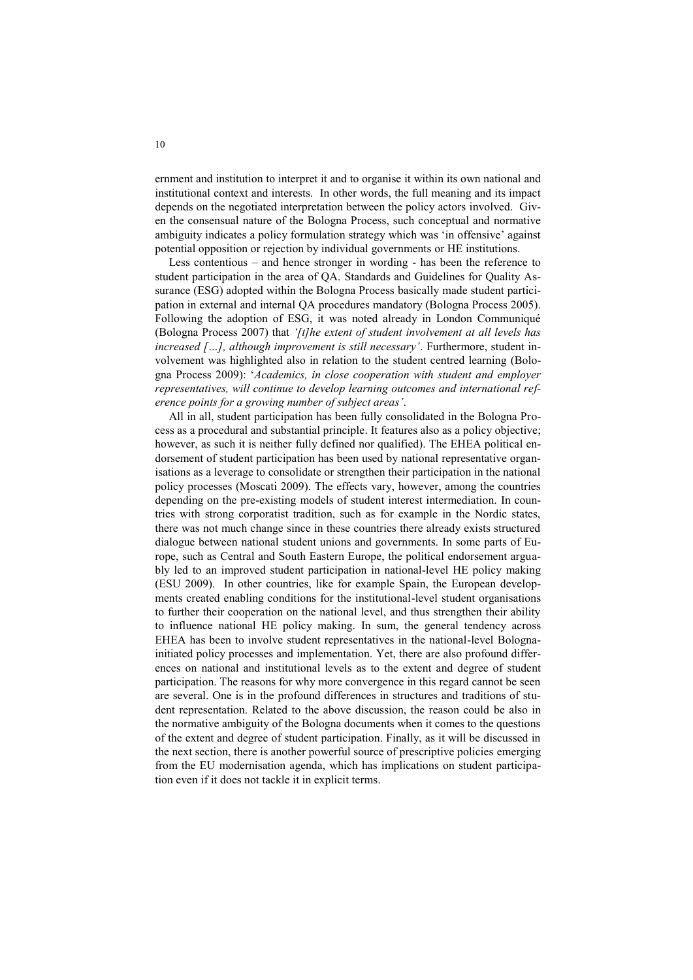ernment and institution to interpret it and to organise it within its own national and institutional context and interests. In other words, the full meaning and its impact depends on the negotiated interpretation between the policy actors involved. Given the consensual nature of the Bologna Process, such conceptual and normative ambiguity indicates a policy formulation strategy which was 'in offensive' against potential opposition or rejection by individual governments or HE institutions.

Less contentious – and hence stronger in wording - has been the reference to student participation in the area of QA. Standards and Guidelines for Quality Assurance (ESG) adopted within the Bologna Process basically made student participation in external and internal QA procedures mandatory (Bologna Process 2005). Following the adoption of ESG, it was noted already in London Communiqué (Bologna Process 2007) that *'[t]he extent of student involvement at all levels has increased […], although improvement is still necessary'*. Furthermore, student involvement was highlighted also in relation to the student centred learning (Bologna Process 2009): '*Academics, in close cooperation with student and employer representatives, will continue to develop learning outcomes and international reference points for a growing number of subject areas'*.

All in all, student participation has been fully consolidated in the Bologna Process as a procedural and substantial principle. It features also as a policy objective; however, as such it is neither fully defined nor qualified). The EHEA political endorsement of student participation has been used by national representative organisations as a leverage to consolidate or strengthen their participation in the national policy processes (Moscati 2009). The effects vary, however, among the countries depending on the pre-existing models of student interest intermediation. In countries with strong corporatist tradition, such as for example in the Nordic states, there was not much change since in these countries there already exists structured dialogue between national student unions and governments. In some parts of Europe, such as Central and South Eastern Europe, the political endorsement arguably led to an improved student participation in national-level HE policy making (ESU 2009). In other countries, like for example Spain, the European developments created enabling conditions for the institutional-level student organisations to further their cooperation on the national level, and thus strengthen their ability to influence national HE policy making. In sum, the general tendency across EHEA has been to involve student representatives in the national-level Bolognainitiated policy processes and implementation. Yet, there are also profound differences on national and institutional levels as to the extent and degree of student participation. The reasons for why more convergence in this regard cannot be seen are several. One is in the profound differences in structures and traditions of student representation. Related to the above discussion, the reason could be also in the normative ambiguity of the Bologna documents when it comes to the questions of the extent and degree of student participation. Finally, as it will be discussed in the next section, there is another powerful source of prescriptive policies emerging from the EU modernisation agenda, which has implications on student participation even if it does not tackle it in explicit terms.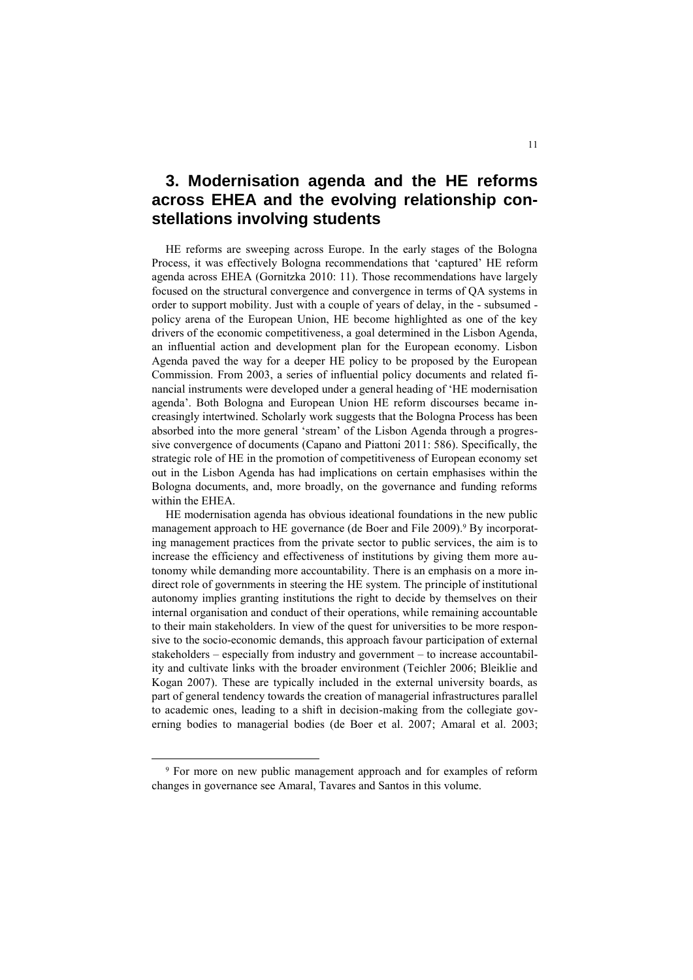# **3. Modernisation agenda and the HE reforms across EHEA and the evolving relationship constellations involving students**

HE reforms are sweeping across Europe. In the early stages of the Bologna Process, it was effectively Bologna recommendations that 'captured' HE reform agenda across EHEA (Gornitzka 2010: 11). Those recommendations have largely focused on the structural convergence and convergence in terms of QA systems in order to support mobility. Just with a couple of years of delay, in the - subsumed policy arena of the European Union, HE become highlighted as one of the key drivers of the economic competitiveness, a goal determined in the Lisbon Agenda, an influential action and development plan for the European economy. Lisbon Agenda paved the way for a deeper HE policy to be proposed by the European Commission. From 2003, a series of influential policy documents and related financial instruments were developed under a general heading of 'HE modernisation agenda'. Both Bologna and European Union HE reform discourses became increasingly intertwined. Scholarly work suggests that the Bologna Process has been absorbed into the more general 'stream' of the Lisbon Agenda through a progressive convergence of documents (Capano and Piattoni 2011: 586). Specifically, the strategic role of HE in the promotion of competitiveness of European economy set out in the Lisbon Agenda has had implications on certain emphasises within the Bologna documents, and, more broadly, on the governance and funding reforms within the EHEA.

HE modernisation agenda has obvious ideational foundations in the new public management approach to HE governance (de Boer and File 2009).<sup>9</sup> By incorporating management practices from the private sector to public services, the aim is to increase the efficiency and effectiveness of institutions by giving them more autonomy while demanding more accountability. There is an emphasis on a more indirect role of governments in steering the HE system. The principle of institutional autonomy implies granting institutions the right to decide by themselves on their internal organisation and conduct of their operations, while remaining accountable to their main stakeholders. In view of the quest for universities to be more responsive to the socio-economic demands, this approach favour participation of external stakeholders – especially from industry and government – to increase accountability and cultivate links with the broader environment (Teichler 2006; Bleiklie and Kogan 2007). These are typically included in the external university boards, as part of general tendency towards the creation of managerial infrastructures parallel to academic ones, leading to a shift in decision-making from the collegiate governing bodies to managerial bodies (de Boer et al. 2007; Amaral et al. 2003;

<sup>9</sup> For more on new public management approach and for examples of reform changes in governance see Amaral, Tavares and Santos in this volume.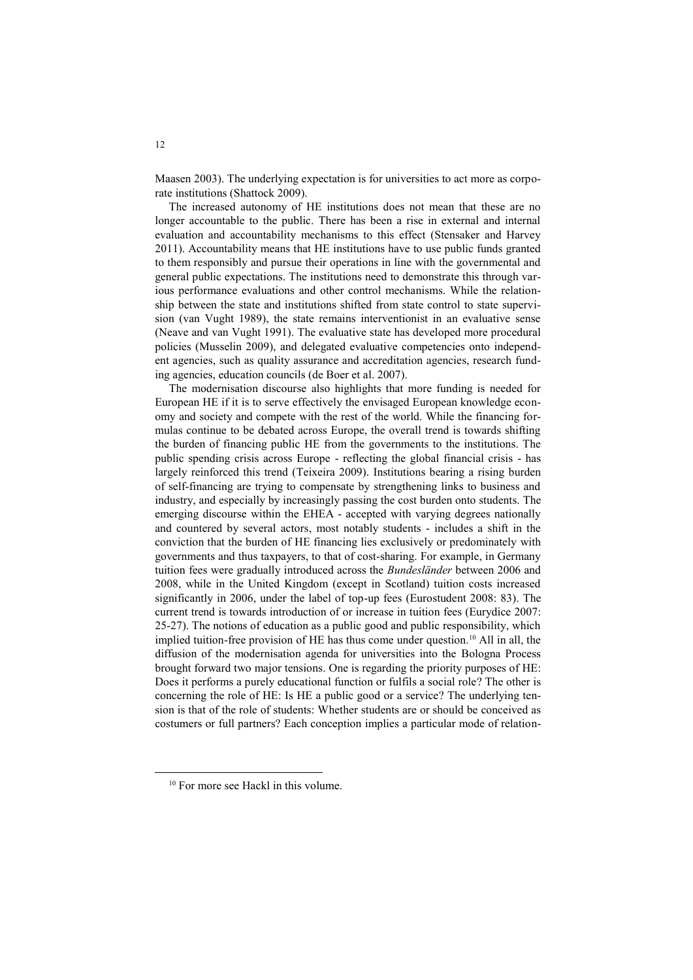Maasen 2003). The underlying expectation is for universities to act more as corporate institutions (Shattock 2009).

The increased autonomy of HE institutions does not mean that these are no longer accountable to the public. There has been a rise in external and internal evaluation and accountability mechanisms to this effect (Stensaker and Harvey 2011). Accountability means that HE institutions have to use public funds granted to them responsibly and pursue their operations in line with the governmental and general public expectations. The institutions need to demonstrate this through various performance evaluations and other control mechanisms. While the relationship between the state and institutions shifted from state control to state supervision (van Vught 1989), the state remains interventionist in an evaluative sense (Neave and van Vught 1991). The evaluative state has developed more procedural policies (Musselin 2009), and delegated evaluative competencies onto independent agencies, such as quality assurance and accreditation agencies, research funding agencies, education councils (de Boer et al. 2007).

The modernisation discourse also highlights that more funding is needed for European HE if it is to serve effectively the envisaged European knowledge economy and society and compete with the rest of the world. While the financing formulas continue to be debated across Europe, the overall trend is towards shifting the burden of financing public HE from the governments to the institutions. The public spending crisis across Europe - reflecting the global financial crisis - has largely reinforced this trend (Teixeira 2009). Institutions bearing a rising burden of self-financing are trying to compensate by strengthening links to business and industry, and especially by increasingly passing the cost burden onto students. The emerging discourse within the EHEA - accepted with varying degrees nationally and countered by several actors, most notably students - includes a shift in the conviction that the burden of HE financing lies exclusively or predominately with governments and thus taxpayers, to that of cost-sharing. For example, in Germany tuition fees were gradually introduced across the *Bundesländer* between 2006 and 2008, while in the United Kingdom (except in Scotland) tuition costs increased significantly in 2006, under the label of top-up fees (Eurostudent 2008: 83). The current trend is towards introduction of or increase in tuition fees (Eurydice 2007: 25-27). The notions of education as a public good and public responsibility, which implied tuition-free provision of HE has thus come under question. <sup>10</sup> All in all, the diffusion of the modernisation agenda for universities into the Bologna Process brought forward two major tensions. One is regarding the priority purposes of HE: Does it performs a purely educational function or fulfils a social role? The other is concerning the role of HE: Is HE a public good or a service? The underlying tension is that of the role of students: Whether students are or should be conceived as costumers or full partners? Each conception implies a particular mode of relation-

<sup>10</sup> For more see Hackl in this volume.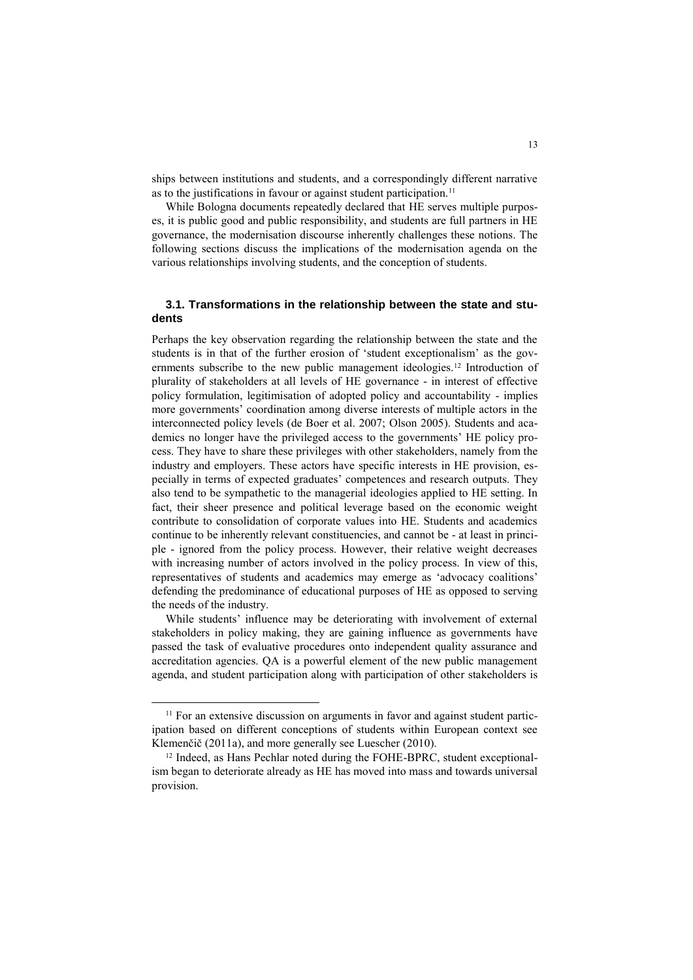ships between institutions and students, and a correspondingly different narrative as to the justifications in favour or against student participation.<sup>11</sup>

While Bologna documents repeatedly declared that HE serves multiple purposes, it is public good and public responsibility, and students are full partners in HE governance, the modernisation discourse inherently challenges these notions. The following sections discuss the implications of the modernisation agenda on the various relationships involving students, and the conception of students.

### **3.1. Transformations in the relationship between the state and students**

Perhaps the key observation regarding the relationship between the state and the students is in that of the further erosion of 'student exceptionalism' as the governments subscribe to the new public management ideologies.<sup>12</sup> Introduction of plurality of stakeholders at all levels of HE governance - in interest of effective policy formulation, legitimisation of adopted policy and accountability - implies more governments' coordination among diverse interests of multiple actors in the interconnected policy levels (de Boer et al. 2007; Olson 2005). Students and academics no longer have the privileged access to the governments' HE policy process. They have to share these privileges with other stakeholders, namely from the industry and employers. These actors have specific interests in HE provision, especially in terms of expected graduates' competences and research outputs. They also tend to be sympathetic to the managerial ideologies applied to HE setting. In fact, their sheer presence and political leverage based on the economic weight contribute to consolidation of corporate values into HE. Students and academics continue to be inherently relevant constituencies, and cannot be - at least in principle - ignored from the policy process. However, their relative weight decreases with increasing number of actors involved in the policy process. In view of this, representatives of students and academics may emerge as 'advocacy coalitions' defending the predominance of educational purposes of HE as opposed to serving the needs of the industry.

While students' influence may be deteriorating with involvement of external stakeholders in policy making, they are gaining influence as governments have passed the task of evaluative procedures onto independent quality assurance and accreditation agencies. QA is a powerful element of the new public management agenda, and student participation along with participation of other stakeholders is

 $11$  For an extensive discussion on arguments in favor and against student participation based on different conceptions of students within European context see Klemenčič (2011a), and more generally see Luescher (2010).

<sup>&</sup>lt;sup>12</sup> Indeed, as Hans Pechlar noted during the FOHE-BPRC, student exceptionalism began to deteriorate already as HE has moved into mass and towards universal provision.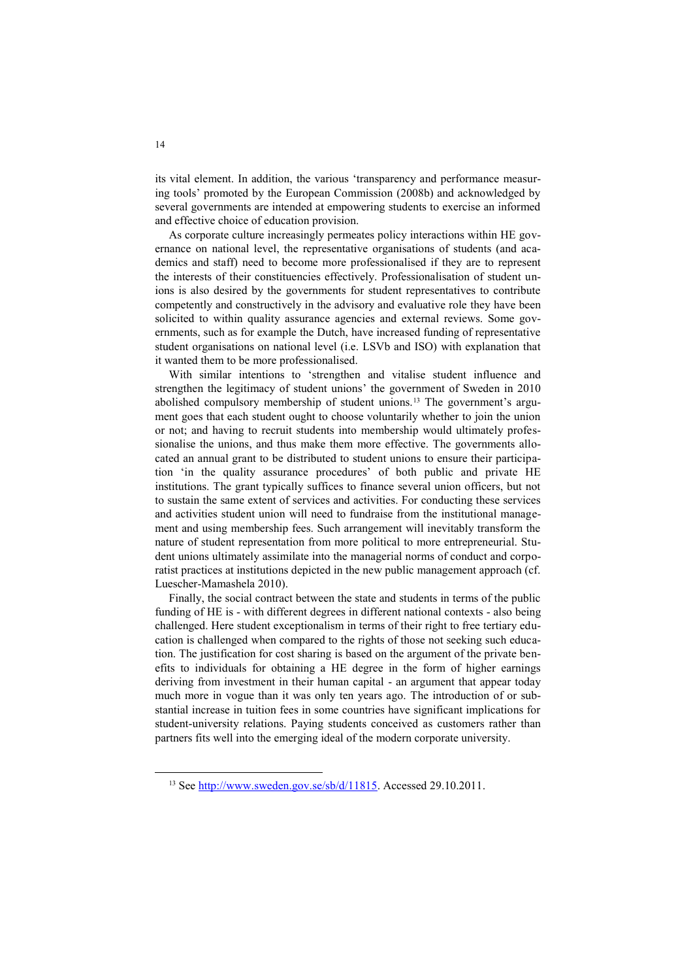its vital element. In addition, the various 'transparency and performance measuring tools' promoted by the European Commission (2008b) and acknowledged by several governments are intended at empowering students to exercise an informed and effective choice of education provision.

As corporate culture increasingly permeates policy interactions within HE governance on national level, the representative organisations of students (and academics and staff) need to become more professionalised if they are to represent the interests of their constituencies effectively. Professionalisation of student unions is also desired by the governments for student representatives to contribute competently and constructively in the advisory and evaluative role they have been solicited to within quality assurance agencies and external reviews. Some governments, such as for example the Dutch, have increased funding of representative student organisations on national level (i.e. LSVb and ISO) with explanation that it wanted them to be more professionalised.

With similar intentions to 'strengthen and vitalise student influence and strengthen the legitimacy of student unions' the government of Sweden in 2010 abolished compulsory membership of student unions.<sup>13</sup> The government's argument goes that each student ought to choose voluntarily whether to join the union or not; and having to recruit students into membership would ultimately professionalise the unions, and thus make them more effective. The governments allocated an annual grant to be distributed to student unions to ensure their participation 'in the quality assurance procedures' of both public and private HE institutions. The grant typically suffices to finance several union officers, but not to sustain the same extent of services and activities. For conducting these services and activities student union will need to fundraise from the institutional management and using membership fees. Such arrangement will inevitably transform the nature of student representation from more political to more entrepreneurial. Student unions ultimately assimilate into the managerial norms of conduct and corporatist practices at institutions depicted in the new public management approach (cf. Luescher-Mamashela 2010).

Finally, the social contract between the state and students in terms of the public funding of HE is - with different degrees in different national contexts - also being challenged. Here student exceptionalism in terms of their right to free tertiary education is challenged when compared to the rights of those not seeking such education. The justification for cost sharing is based on the argument of the private benefits to individuals for obtaining a HE degree in the form of higher earnings deriving from investment in their human capital - an argument that appear today much more in vogue than it was only ten years ago. The introduction of or substantial increase in tuition fees in some countries have significant implications for student-university relations. Paying students conceived as customers rather than partners fits well into the emerging ideal of the modern corporate university.

<sup>13</sup> Se[e http://www.sweden.gov.se/sb/d/11815.](http://www.sweden.gov.se/sb/d/11815) Accessed 29.10.2011.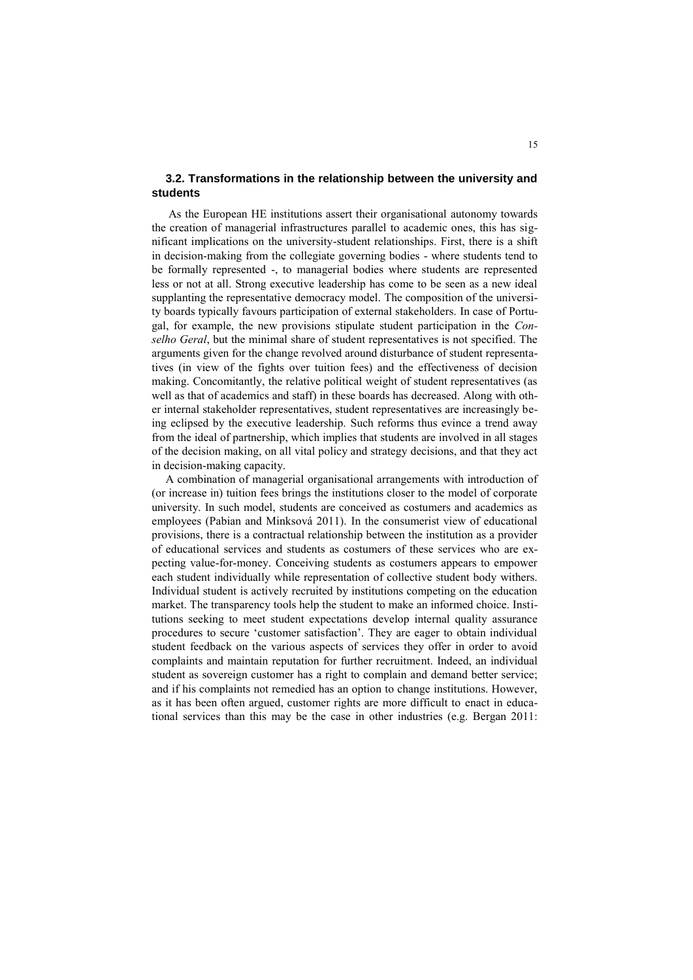#### **3.2. Transformations in the relationship between the university and students**

As the European HE institutions assert their organisational autonomy towards the creation of managerial infrastructures parallel to academic ones, this has significant implications on the university-student relationships. First, there is a shift in decision-making from the collegiate governing bodies - where students tend to be formally represented -, to managerial bodies where students are represented less or not at all. Strong executive leadership has come to be seen as a new ideal supplanting the representative democracy model. The composition of the university boards typically favours participation of external stakeholders. In case of Portugal, for example, the new provisions stipulate student participation in the *Conselho Geral*, but the minimal share of student representatives is not specified. The arguments given for the change revolved around disturbance of student representatives (in view of the fights over tuition fees) and the effectiveness of decision making. Concomitantly, the relative political weight of student representatives (as well as that of academics and staff) in these boards has decreased. Along with other internal stakeholder representatives, student representatives are increasingly being eclipsed by the executive leadership. Such reforms thus evince a trend away from the ideal of partnership, which implies that students are involved in all stages of the decision making, on all vital policy and strategy decisions, and that they act in decision-making capacity.

A combination of managerial organisational arrangements with introduction of (or increase in) tuition fees brings the institutions closer to the model of corporate university. In such model, students are conceived as costumers and academics as employees (Pabian and Minksová 2011). In the consumerist view of educational provisions, there is a contractual relationship between the institution as a provider of educational services and students as costumers of these services who are expecting value-for-money. Conceiving students as costumers appears to empower each student individually while representation of collective student body withers. Individual student is actively recruited by institutions competing on the education market. The transparency tools help the student to make an informed choice. Institutions seeking to meet student expectations develop internal quality assurance procedures to secure 'customer satisfaction'. They are eager to obtain individual student feedback on the various aspects of services they offer in order to avoid complaints and maintain reputation for further recruitment. Indeed, an individual student as sovereign customer has a right to complain and demand better service; and if his complaints not remedied has an option to change institutions. However, as it has been often argued, customer rights are more difficult to enact in educational services than this may be the case in other industries (e.g. Bergan 2011: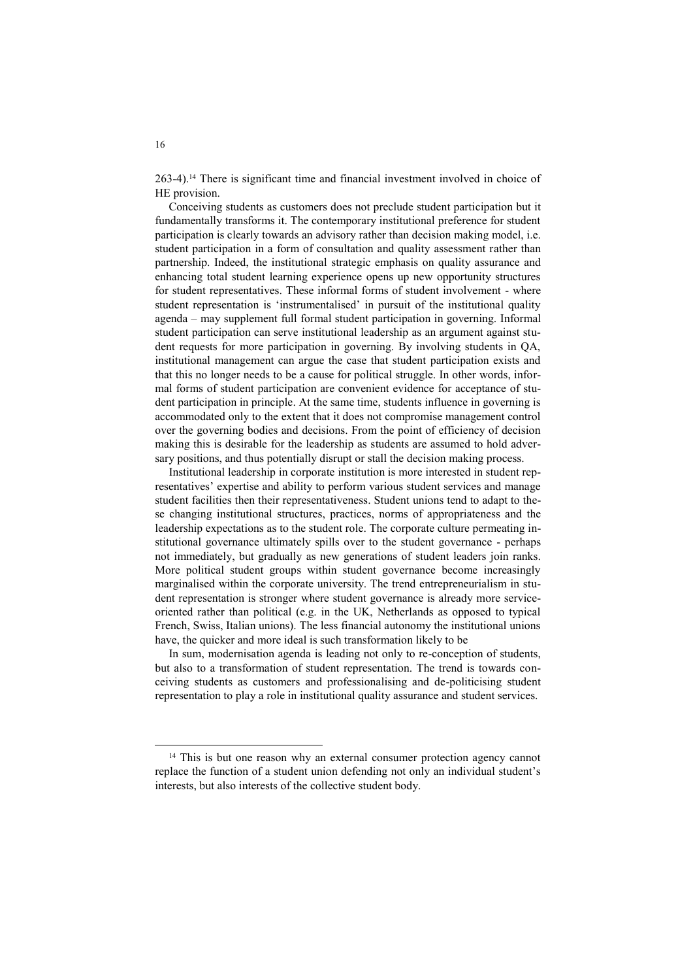263-4).<sup>14</sup> There is significant time and financial investment involved in choice of HE provision.

Conceiving students as customers does not preclude student participation but it fundamentally transforms it. The contemporary institutional preference for student participation is clearly towards an advisory rather than decision making model, i.e. student participation in a form of consultation and quality assessment rather than partnership. Indeed, the institutional strategic emphasis on quality assurance and enhancing total student learning experience opens up new opportunity structures for student representatives. These informal forms of student involvement - where student representation is 'instrumentalised' in pursuit of the institutional quality agenda – may supplement full formal student participation in governing. Informal student participation can serve institutional leadership as an argument against student requests for more participation in governing. By involving students in QA, institutional management can argue the case that student participation exists and that this no longer needs to be a cause for political struggle. In other words, informal forms of student participation are convenient evidence for acceptance of student participation in principle. At the same time, students influence in governing is accommodated only to the extent that it does not compromise management control over the governing bodies and decisions. From the point of efficiency of decision making this is desirable for the leadership as students are assumed to hold adversary positions, and thus potentially disrupt or stall the decision making process.

Institutional leadership in corporate institution is more interested in student representatives' expertise and ability to perform various student services and manage student facilities then their representativeness. Student unions tend to adapt to these changing institutional structures, practices, norms of appropriateness and the leadership expectations as to the student role. The corporate culture permeating institutional governance ultimately spills over to the student governance - perhaps not immediately, but gradually as new generations of student leaders join ranks. More political student groups within student governance become increasingly marginalised within the corporate university. The trend entrepreneurialism in student representation is stronger where student governance is already more serviceoriented rather than political (e.g. in the UK, Netherlands as opposed to typical French, Swiss, Italian unions). The less financial autonomy the institutional unions have, the quicker and more ideal is such transformation likely to be

In sum, modernisation agenda is leading not only to re-conception of students, but also to a transformation of student representation. The trend is towards conceiving students as customers and professionalising and de-politicising student representation to play a role in institutional quality assurance and student services.

<sup>&</sup>lt;sup>14</sup> This is but one reason why an external consumer protection agency cannot replace the function of a student union defending not only an individual student's interests, but also interests of the collective student body.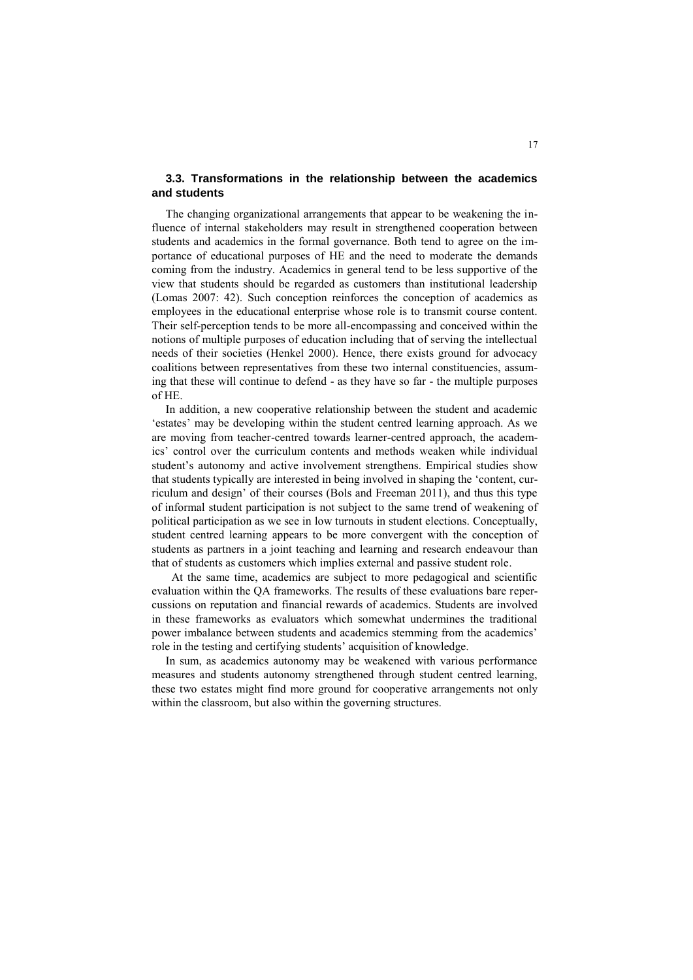#### **3.3. Transformations in the relationship between the academics and students**

The changing organizational arrangements that appear to be weakening the influence of internal stakeholders may result in strengthened cooperation between students and academics in the formal governance. Both tend to agree on the importance of educational purposes of HE and the need to moderate the demands coming from the industry. Academics in general tend to be less supportive of the view that students should be regarded as customers than institutional leadership (Lomas 2007: 42). Such conception reinforces the conception of academics as employees in the educational enterprise whose role is to transmit course content. Their self-perception tends to be more all-encompassing and conceived within the notions of multiple purposes of education including that of serving the intellectual needs of their societies (Henkel 2000). Hence, there exists ground for advocacy coalitions between representatives from these two internal constituencies, assuming that these will continue to defend - as they have so far - the multiple purposes of HE.

In addition, a new cooperative relationship between the student and academic 'estates' may be developing within the student centred learning approach. As we are moving from teacher-centred towards learner-centred approach, the academics' control over the curriculum contents and methods weaken while individual student's autonomy and active involvement strengthens. Empirical studies show that students typically are interested in being involved in shaping the 'content, curriculum and design' of their courses (Bols and Freeman 2011), and thus this type of informal student participation is not subject to the same trend of weakening of political participation as we see in low turnouts in student elections. Conceptually, student centred learning appears to be more convergent with the conception of students as partners in a joint teaching and learning and research endeavour than that of students as customers which implies external and passive student role.

 At the same time, academics are subject to more pedagogical and scientific evaluation within the QA frameworks. The results of these evaluations bare repercussions on reputation and financial rewards of academics. Students are involved in these frameworks as evaluators which somewhat undermines the traditional power imbalance between students and academics stemming from the academics' role in the testing and certifying students' acquisition of knowledge.

In sum, as academics autonomy may be weakened with various performance measures and students autonomy strengthened through student centred learning, these two estates might find more ground for cooperative arrangements not only within the classroom, but also within the governing structures.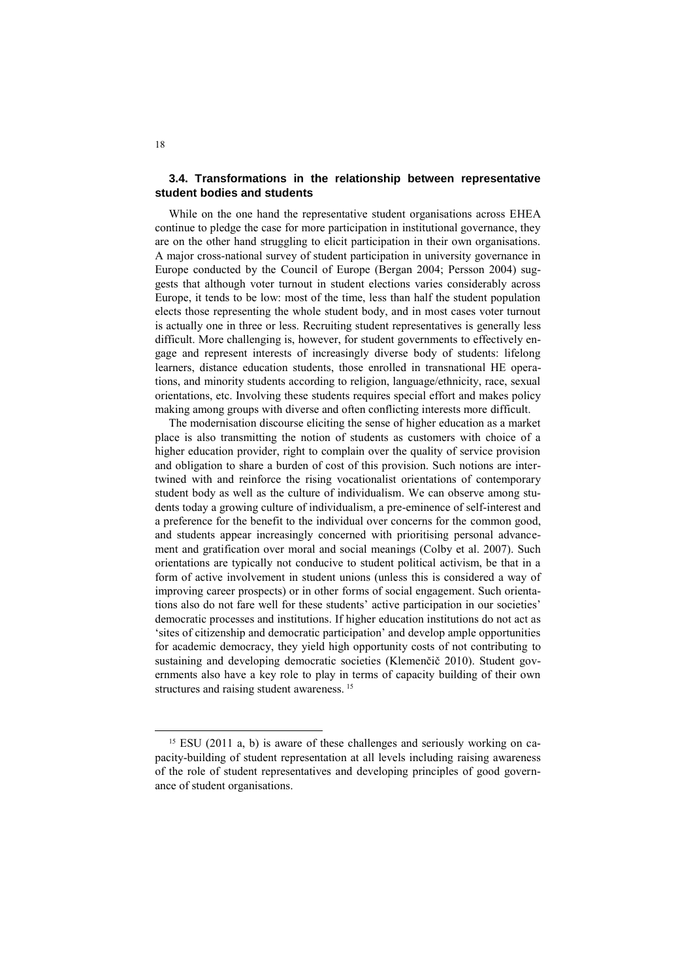#### **3.4. Transformations in the relationship between representative student bodies and students**

While on the one hand the representative student organisations across EHEA continue to pledge the case for more participation in institutional governance, they are on the other hand struggling to elicit participation in their own organisations. A major cross-national survey of student participation in university governance in Europe conducted by the Council of Europe (Bergan 2004; Persson 2004) suggests that although voter turnout in student elections varies considerably across Europe, it tends to be low: most of the time, less than half the student population elects those representing the whole student body, and in most cases voter turnout is actually one in three or less. Recruiting student representatives is generally less difficult. More challenging is, however, for student governments to effectively engage and represent interests of increasingly diverse body of students: lifelong learners, distance education students, those enrolled in transnational HE operations, and minority students according to religion, language/ethnicity, race, sexual orientations, etc. Involving these students requires special effort and makes policy making among groups with diverse and often conflicting interests more difficult.

The modernisation discourse eliciting the sense of higher education as a market place is also transmitting the notion of students as customers with choice of a higher education provider, right to complain over the quality of service provision and obligation to share a burden of cost of this provision. Such notions are intertwined with and reinforce the rising vocationalist orientations of contemporary student body as well as the culture of individualism. We can observe among students today a growing culture of individualism, a pre-eminence of self-interest and a preference for the benefit to the individual over concerns for the common good, and students appear increasingly concerned with prioritising personal advancement and gratification over moral and social meanings (Colby et al. 2007). Such orientations are typically not conducive to student political activism, be that in a form of active involvement in student unions (unless this is considered a way of improving career prospects) or in other forms of social engagement. Such orientations also do not fare well for these students' active participation in our societies' democratic processes and institutions. If higher education institutions do not act as 'sites of citizenship and democratic participation' and develop ample opportunities for academic democracy, they yield high opportunity costs of not contributing to sustaining and developing democratic societies (Klemenčič 2010). Student governments also have a key role to play in terms of capacity building of their own structures and raising student awareness.<sup>15</sup>

<sup>15</sup> ESU (2011 a, b) is aware of these challenges and seriously working on capacity-building of student representation at all levels including raising awareness of the role of student representatives and developing principles of good governance of student organisations.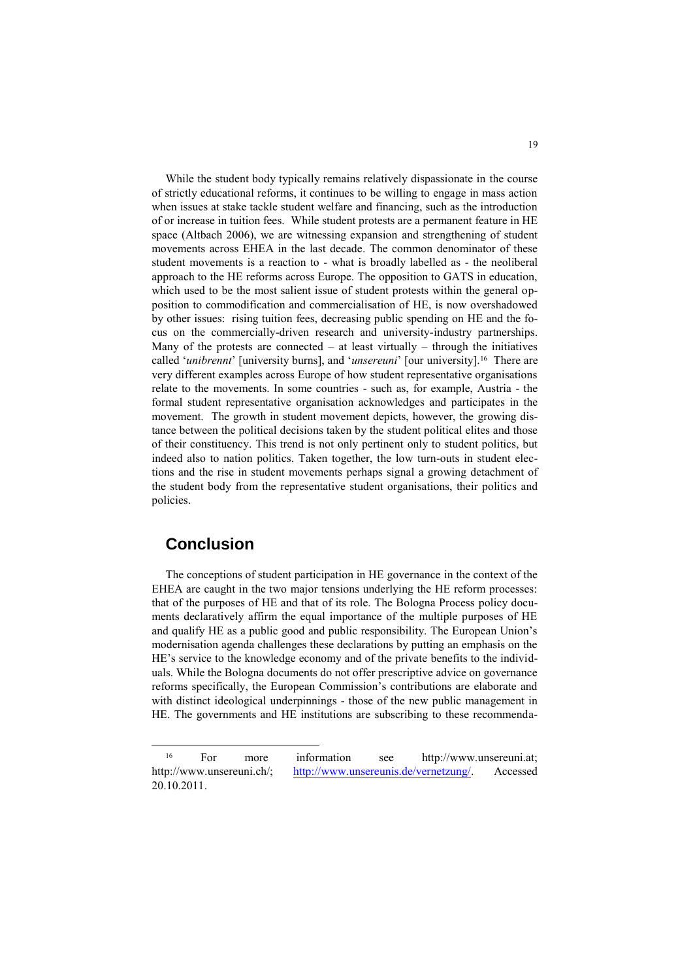While the student body typically remains relatively dispassionate in the course of strictly educational reforms, it continues to be willing to engage in mass action when issues at stake tackle student welfare and financing, such as the introduction of or increase in tuition fees. While student protests are a permanent feature in HE space (Altbach 2006), we are witnessing expansion and strengthening of student movements across EHEA in the last decade. The common denominator of these student movements is a reaction to - what is broadly labelled as - the neoliberal approach to the HE reforms across Europe. The opposition to GATS in education, which used to be the most salient issue of student protests within the general opposition to commodification and commercialisation of HE, is now overshadowed by other issues: rising tuition fees, decreasing public spending on HE and the focus on the commercially-driven research and university-industry partnerships. Many of the protests are connected  $-$  at least virtually  $-$  through the initiatives called '*unibrennt*' [university burns], and '*unsereuni*' [our university].<sup>16</sup> There are very different examples across Europe of how student representative organisations relate to the movements. In some countries - such as, for example, Austria - the formal student representative organisation acknowledges and participates in the movement. The growth in student movement depicts, however, the growing distance between the political decisions taken by the student political elites and those of their constituency. This trend is not only pertinent only to student politics, but indeed also to nation politics. Taken together, the low turn-outs in student elections and the rise in student movements perhaps signal a growing detachment of the student body from the representative student organisations, their politics and policies.

### **Conclusion**

-

The conceptions of student participation in HE governance in the context of the EHEA are caught in the two major tensions underlying the HE reform processes: that of the purposes of HE and that of its role. The Bologna Process policy documents declaratively affirm the equal importance of the multiple purposes of HE and qualify HE as a public good and public responsibility. The European Union's modernisation agenda challenges these declarations by putting an emphasis on the HE's service to the knowledge economy and of the private benefits to the individuals. While the Bologna documents do not offer prescriptive advice on governance reforms specifically, the European Commission's contributions are elaborate and with distinct ideological underpinnings - those of the new public management in HE. The governments and HE institutions are subscribing to these recommenda-

<sup>16</sup> For more information see http://www.unsereuni.at; http://www.unsereuni.ch/; [http://www.unsereunis.de/vernetzung/.](http://www.unsereunis.de/vernetzung/) Accessed 20.10.2011.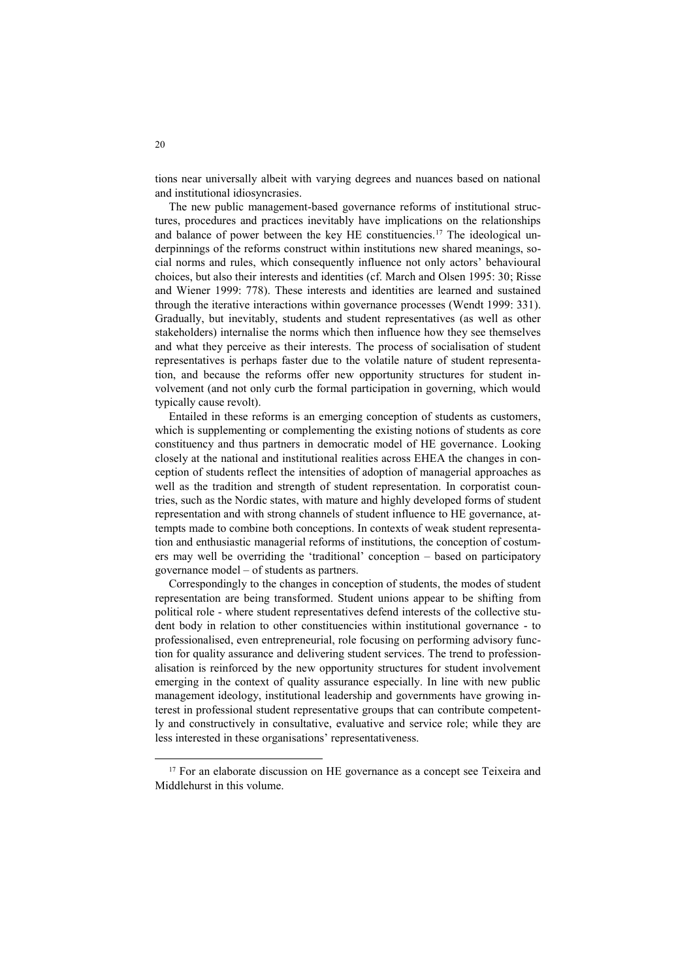tions near universally albeit with varying degrees and nuances based on national and institutional idiosyncrasies.

The new public management-based governance reforms of institutional structures, procedures and practices inevitably have implications on the relationships and balance of power between the key HE constituencies.<sup>17</sup> The ideological underpinnings of the reforms construct within institutions new shared meanings, social norms and rules, which consequently influence not only actors' behavioural choices, but also their interests and identities (cf. March and Olsen 1995: 30; Risse and Wiener 1999: 778). These interests and identities are learned and sustained through the iterative interactions within governance processes (Wendt 1999: 331). Gradually, but inevitably, students and student representatives (as well as other stakeholders) internalise the norms which then influence how they see themselves and what they perceive as their interests. The process of socialisation of student representatives is perhaps faster due to the volatile nature of student representation, and because the reforms offer new opportunity structures for student involvement (and not only curb the formal participation in governing, which would typically cause revolt).

Entailed in these reforms is an emerging conception of students as customers, which is supplementing or complementing the existing notions of students as core constituency and thus partners in democratic model of HE governance. Looking closely at the national and institutional realities across EHEA the changes in conception of students reflect the intensities of adoption of managerial approaches as well as the tradition and strength of student representation. In corporatist countries, such as the Nordic states, with mature and highly developed forms of student representation and with strong channels of student influence to HE governance, attempts made to combine both conceptions. In contexts of weak student representation and enthusiastic managerial reforms of institutions, the conception of costumers may well be overriding the 'traditional' conception – based on participatory governance model – of students as partners.

Correspondingly to the changes in conception of students, the modes of student representation are being transformed. Student unions appear to be shifting from political role - where student representatives defend interests of the collective student body in relation to other constituencies within institutional governance - to professionalised, even entrepreneurial, role focusing on performing advisory function for quality assurance and delivering student services. The trend to professionalisation is reinforced by the new opportunity structures for student involvement emerging in the context of quality assurance especially. In line with new public management ideology, institutional leadership and governments have growing interest in professional student representative groups that can contribute competently and constructively in consultative, evaluative and service role; while they are less interested in these organisations' representativeness.

<sup>&</sup>lt;sup>17</sup> For an elaborate discussion on HE governance as a concept see Teixeira and Middlehurst in this volume.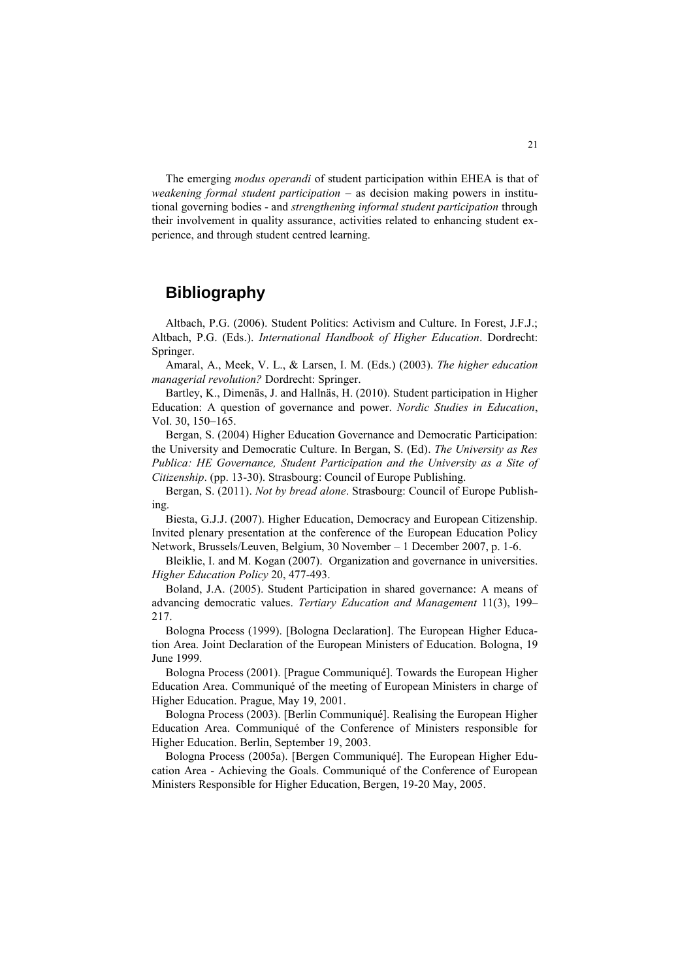The emerging *modus operandi* of student participation within EHEA is that of *weakening formal student participation* – as decision making powers in institutional governing bodies - and *strengthening informal student participation* through their involvement in quality assurance, activities related to enhancing student experience, and through student centred learning.

### **Bibliography**

Altbach, P.G. (2006). Student Politics: Activism and Culture. In Forest, J.F.J.; Altbach, P.G. (Eds.). *International Handbook of Higher Education*. Dordrecht: Springer.

Amaral, A., Meek, V. L., & Larsen, I. M. (Eds.) (2003). *The higher education managerial revolution?* Dordrecht: Springer.

Bartley, K., Dimenäs, J. and Hallnäs, H. (2010). Student participation in Higher Education: A question of governance and power. *Nordic Studies in Education*, Vol. 30, 150–165.

Bergan, S. (2004) Higher Education Governance and Democratic Participation: the University and Democratic Culture. In Bergan, S. (Ed). *The University as Res Publica: HE Governance, Student Participation and the University as a Site of Citizenship*. (pp. 13-30). Strasbourg: Council of Europe Publishing.

Bergan, S. (2011). *Not by bread alone*. Strasbourg: Council of Europe Publishing.

Biesta, G.J.J. (2007). Higher Education, Democracy and European Citizenship. Invited plenary presentation at the conference of the European Education Policy Network, Brussels/Leuven, Belgium, 30 November – 1 December 2007, p. 1-6.

Bleiklie, I. and M. Kogan (2007). Organization and governance in universities. *Higher Education Policy* 20, 477-493.

Boland, J.A. (2005). Student Participation in shared governance: A means of advancing democratic values. *Tertiary Education and Management* 11(3), 199– 217.

Bologna Process (1999). [Bologna Declaration]. The European Higher Education Area. Joint Declaration of the European Ministers of Education. Bologna, 19 June 1999.

Bologna Process (2001). [Prague Communiqué]. Towards the European Higher Education Area. Communiqué of the meeting of European Ministers in charge of Higher Education. Prague, May 19, 2001.

Bologna Process (2003). [Berlin Communiqué]. Realising the European Higher Education Area. Communiqué of the Conference of Ministers responsible for Higher Education. Berlin, September 19, 2003.

Bologna Process (2005a). [Bergen Communiqué]. The European Higher Education Area - Achieving the Goals. Communiqué of the Conference of European Ministers Responsible for Higher Education, Bergen, 19-20 May, 2005.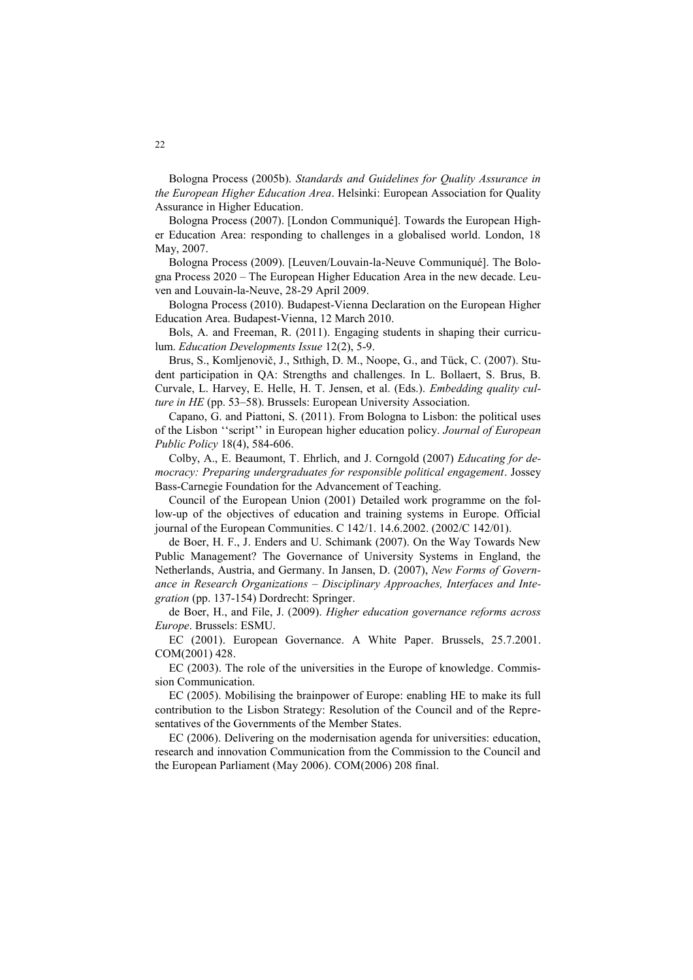Bologna Process (2005b). *Standards and Guidelines for Quality Assurance in the European Higher Education Area*. Helsinki: European Association for Quality Assurance in Higher Education.

Bologna Process (2007). [London Communiqué]. Towards the European Higher Education Area: responding to challenges in a globalised world. London, 18 May, 2007.

Bologna Process (2009). [Leuven/Louvain-la-Neuve Communiqué]. The Bologna Process 2020 – The European Higher Education Area in the new decade. Leuven and Louvain-la-Neuve, 28-29 April 2009.

Bologna Process (2010). Budapest-Vienna Declaration on the European Higher Education Area. Budapest-Vienna, 12 March 2010.

Bols, A. and Freeman, R. (2011). Engaging students in shaping their curriculum. *Education Developments Issue* 12(2), 5-9.

Brus, S., Komljenovič, J., Sıthigh, D. M., Noope, G., and Tück, C. (2007). Student participation in QA: Strengths and challenges. In L. Bollaert, S. Brus, B. Curvale, L. Harvey, E. Helle, H. T. Jensen, et al. (Eds.). *Embedding quality culture in HE* (pp. 53–58). Brussels: European University Association.

Capano, G. and Piattoni, S. (2011). From Bologna to Lisbon: the political uses of the Lisbon ''script'' in European higher education policy. *Journal of European Public Policy* 18(4), 584-606.

Colby, A., E. Beaumont, T. Ehrlich, and J. Corngold (2007) *Educating for democracy: Preparing undergraduates for responsible political engagement*. Jossey Bass-Carnegie Foundation for the Advancement of Teaching.

Council of the European Union (2001) Detailed work programme on the follow-up of the objectives of education and training systems in Europe. Official journal of the European Communities. C 142/1. 14.6.2002. (2002/C 142/01).

de Boer, H. F., J. Enders and U. Schimank (2007). On the Way Towards New Public Management? The Governance of University Systems in England, the Netherlands, Austria, and Germany. In Jansen, D. (2007), *New Forms of Governance in Research Organizations – Disciplinary Approaches, Interfaces and Integration* (pp. 137-154) Dordrecht: Springer.

de Boer, H., and File, J. (2009). *Higher education governance reforms across Europe*. Brussels: ESMU.

EC (2001). European Governance. A White Paper. Brussels, 25.7.2001. COM(2001) 428.

EC (2003). The role of the universities in the Europe of knowledge. Commission Communication.

EC (2005). Mobilising the brainpower of Europe: enabling HE to make its full contribution to the Lisbon Strategy: Resolution of the Council and of the Representatives of the Governments of the Member States.

EC (2006). Delivering on the modernisation agenda for universities: education, research and innovation Communication from the Commission to the Council and the European Parliament (May 2006). COM(2006) 208 final.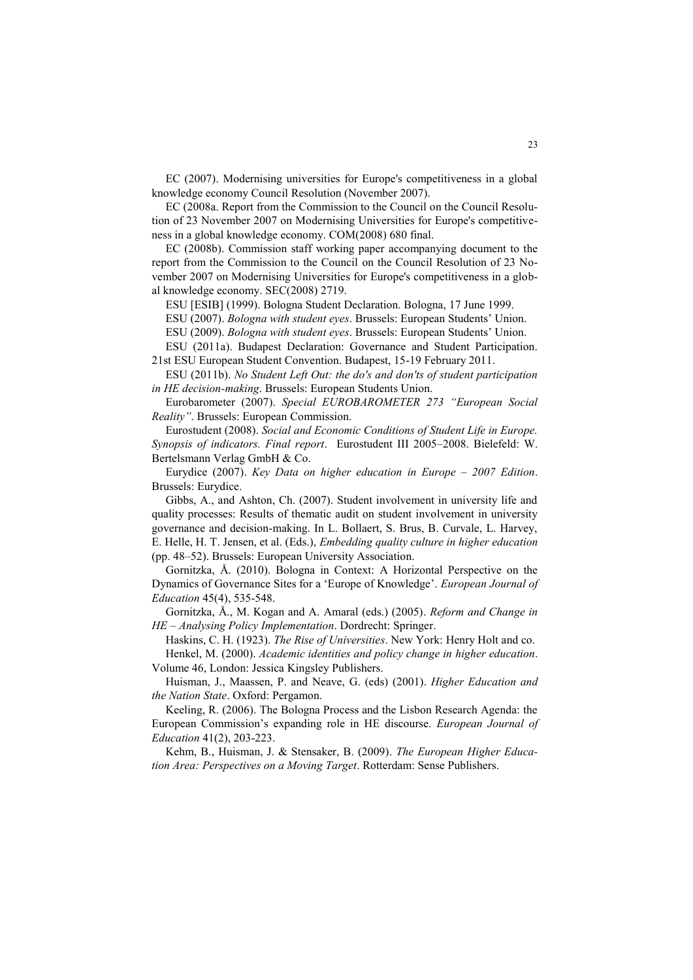EC (2007). Modernising universities for Europe's competitiveness in a global knowledge economy Council Resolution (November 2007).

EC (2008a. Report from the Commission to the Council on the Council Resolution of 23 November 2007 on Modernising Universities for Europe's competitiveness in a global knowledge economy. COM(2008) 680 final.

EC (2008b). Commission staff working paper accompanying document to the report from the Commission to the Council on the Council Resolution of 23 November 2007 on Modernising Universities for Europe's competitiveness in a global knowledge economy. SEC(2008) 2719.

ESU [ESIB] (1999). Bologna Student Declaration. Bologna, 17 June 1999.

ESU (2007). *Bologna with student eyes*. Brussels: European Students' Union.

ESU (2009). *Bologna with student eyes*. Brussels: European Students' Union.

ESU (2011a). Budapest Declaration: Governance and Student Participation. 21st ESU European Student Convention. Budapest, 15-19 February 2011.

ESU (2011b). *No Student Left Out: the do's and don'ts of student participation in HE decision-making*. Brussels: European Students Union.

Eurobarometer (2007). *Special EUROBAROMETER 273 "European Social Reality"*. Brussels: European Commission.

Eurostudent (2008). *Social and Economic Conditions of Student Life in Europe. Synopsis of indicators. Final report*. Eurostudent III 2005–2008. Bielefeld: W. Bertelsmann Verlag GmbH & Co.

Eurydice (2007). *Key Data on higher education in Europe – 2007 Edition*. Brussels: Eurydice.

Gibbs, A., and Ashton, Ch. (2007). Student involvement in university life and quality processes: Results of thematic audit on student involvement in university governance and decision-making. In L. Bollaert, S. Brus, B. Curvale, L. Harvey, E. Helle, H. T. Jensen, et al. (Eds.), *Embedding quality culture in higher education* (pp. 48–52). Brussels: European University Association.

Gornitzka, Å. (2010). Bologna in Context: A Horizontal Perspective on the Dynamics of Governance Sites for a 'Europe of Knowledge'. *European Journal of Education* 45(4), 535-548.

Gornitzka, Å., M. Kogan and A. Amaral (eds.) (2005). *Reform and Change in HE – Analysing Policy Implementation*. Dordrecht: Springer.

Haskins, C. H. (1923). *The Rise of Universities*. New York: Henry Holt and co. Henkel, M. (2000). *Academic identities and policy change in higher education*. Volume 46, London: Jessica Kingsley Publishers.

Huisman, J., Maassen, P. and Neave, G. (eds) (2001). *Higher Education and the Nation State*. Oxford: Pergamon.

Keeling, R. (2006). The Bologna Process and the Lisbon Research Agenda: the European Commission's expanding role in HE discourse. *European Journal of Education* 41(2), 203-223.

Kehm, B., Huisman, J. & Stensaker, B. (2009). *The European Higher Education Area: Perspectives on a Moving Target*. Rotterdam: Sense Publishers.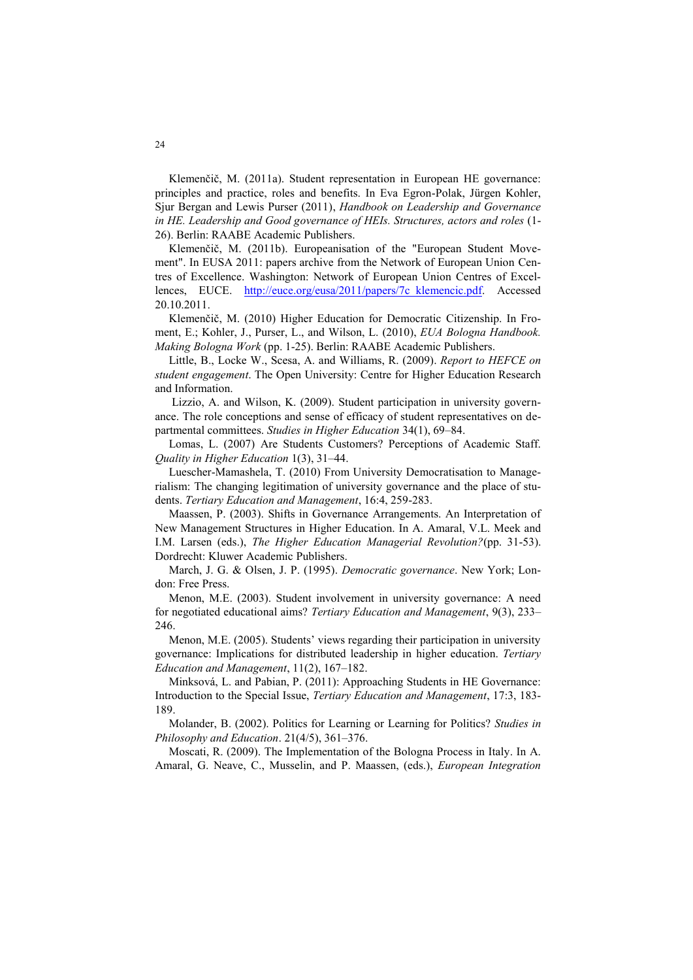Klemenčič, M. (2011a). Student representation in European HE governance: principles and practice, roles and benefits. In Eva Egron-Polak, Jürgen Kohler, Sjur Bergan and Lewis Purser (2011), *Handbook on Leadership and Governance in HE. Leadership and Good governance of HEIs. Structures, actors and roles* (1- 26). Berlin: RAABE Academic Publishers.

Klemenčič, M. (2011b). Europeanisation of the "European Student Movement". In EUSA 2011: papers archive from the Network of European Union Centres of Excellence. Washington: Network of European Union Centres of Excellences, EUCE. [http://euce.org/eusa/2011/papers/7c\\_klemencic.pdf.](http://euce.org/eusa/2011/papers/7c_klemencic.pdf) Accessed 20.10.2011.

Klemenčič, M. (2010) Higher Education for Democratic Citizenship. In Froment, E.; Kohler, J., Purser, L., and Wilson, L. (2010), *EUA Bologna Handbook. Making Bologna Work* (pp. 1-25). Berlin: RAABE Academic Publishers.

Little, B., Locke W., Scesa, A. and Williams, R. (2009). *Report to HEFCE on student engagement*. The Open University: Centre for Higher Education Research and Information.

Lizzio, A. and Wilson, K. (2009). Student participation in university governance. The role conceptions and sense of efficacy of student representatives on departmental committees. *Studies in Higher Education* 34(1), 69–84.

Lomas, L. (2007) Are Students Customers? Perceptions of Academic Staff. *Quality in Higher Education* 1(3), 31–44.

Luescher-Mamashela, T. (2010) From University Democratisation to Managerialism: The changing legitimation of university governance and the place of students. *Tertiary Education and Management*, 16:4, 259-283.

Maassen, P. (2003). Shifts in Governance Arrangements. An Interpretation of New Management Structures in Higher Education. In A. Amaral, V.L. Meek and I.M. Larsen (eds.), *The Higher Education Managerial Revolution?*(pp. 31-53). Dordrecht: Kluwer Academic Publishers.

March, J. G. & Olsen, J. P. (1995). *Democratic governance*. New York; London: Free Press.

Menon, M.E. (2003). Student involvement in university governance: A need for negotiated educational aims? *Tertiary Education and Management*, 9(3), 233– 246.

Menon, M.E. (2005). Students' views regarding their participation in university governance: Implications for distributed leadership in higher education. *Tertiary Education and Management*, 11(2), 167–182.

Minksová, L. and Pabian, P. (2011): Approaching Students in HE Governance: Introduction to the Special Issue, *Tertiary Education and Management*, 17:3, 183- 189.

Molander, B. (2002). Politics for Learning or Learning for Politics? *Studies in Philosophy and Education*. 21(4/5), 361–376.

Moscati, R. (2009). The Implementation of the Bologna Process in Italy. In A. Amaral, G. Neave, C., Musselin, and P. Maassen, (eds.), *European Integration* 

24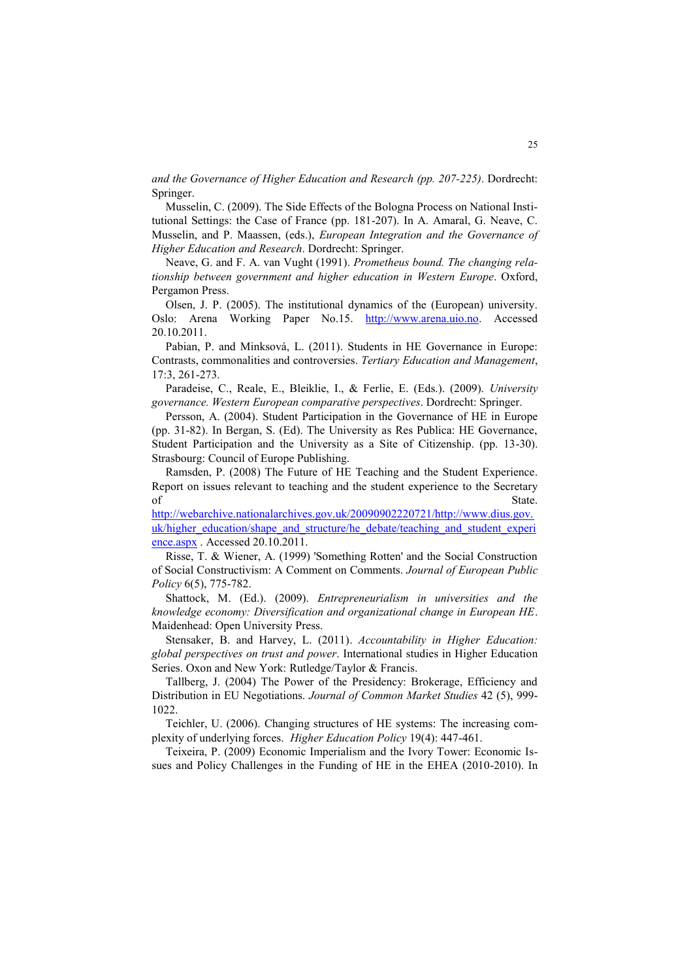*and the Governance of Higher Education and Research (pp. 207-225)*. Dordrecht: Springer.

Musselin, C. (2009). The Side Effects of the Bologna Process on National Institutional Settings: the Case of France (pp. 181-207). In A. Amaral, G. Neave, C. Musselin, and P. Maassen, (eds.), *European Integration and the Governance of Higher Education and Research*. Dordrecht: Springer.

Neave, G. and F. A. van Vught (1991). *Prometheus bound. The changing relationship between government and higher education in Western Europe*. Oxford, Pergamon Press.

Olsen, J. P. (2005). The institutional dynamics of the (European) university. Oslo: Arena Working Paper No.15. [http://www.arena.uio.no.](http://www.arena.uio.no/) Accessed 20.10.2011.

Pabian, P. and Minksová, L. (2011). Students in HE Governance in Europe: Contrasts, commonalities and controversies. *Tertiary Education and Management*, 17:3, 261-273.

Paradeise, C., Reale, E., Bleiklie, I., & Ferlie, E. (Eds.). (2009). *University governance. Western European comparative perspectives*. Dordrecht: Springer.

Persson, A. (2004). Student Participation in the Governance of HE in Europe (pp. 31-82). In Bergan, S. (Ed). The University as Res Publica: HE Governance, Student Participation and the University as a Site of Citizenship. (pp. 13-30). Strasbourg: Council of Europe Publishing.

Ramsden, P. (2008) The Future of HE Teaching and the Student Experience. Report on issues relevant to teaching and the student experience to the Secretary of State.

[http://webarchive.nationalarchives.gov.uk/20090902220721/http://www.dius.gov.](http://webarchive.nationalarchives.gov.uk/20090902220721/http:/www.dius.gov.uk/higher_education/shape_and_structure/he_debate/teaching_and_student_experience.aspx) [uk/higher\\_education/shape\\_and\\_structure/he\\_debate/teaching\\_and\\_student\\_experi](http://webarchive.nationalarchives.gov.uk/20090902220721/http:/www.dius.gov.uk/higher_education/shape_and_structure/he_debate/teaching_and_student_experience.aspx) [ence.aspx](http://webarchive.nationalarchives.gov.uk/20090902220721/http:/www.dius.gov.uk/higher_education/shape_and_structure/he_debate/teaching_and_student_experience.aspx) . Accessed 20.10.2011.

Risse, T. & Wiener, A. (1999) 'Something Rotten' and the Social Construction of Social Constructivism: A Comment on Comments. *Journal of European Public Policy* 6(5), 775-782.

Shattock, M. (Ed.). (2009). *Entrepreneurialism in universities and the knowledge economy: Diversification and organizational change in European HE*. Maidenhead: Open University Press.

Stensaker, B. and Harvey, L. (2011). *Accountability in Higher Education: global perspectives on trust and power*. International studies in Higher Education Series. Oxon and New York: Rutledge/Taylor & Francis.

Tallberg, J. (2004) The Power of the Presidency: Brokerage, Efficiency and Distribution in EU Negotiations. *Journal of Common Market Studies* 42 (5), 999- 1022.

Teichler, U. (2006). Changing structures of HE systems: The increasing complexity of underlying forces. *Higher Education Policy* 19(4): 447-461.

Teixeira, P. (2009) Economic Imperialism and the Ivory Tower: Economic Issues and Policy Challenges in the Funding of HE in the EHEA (2010-2010). In